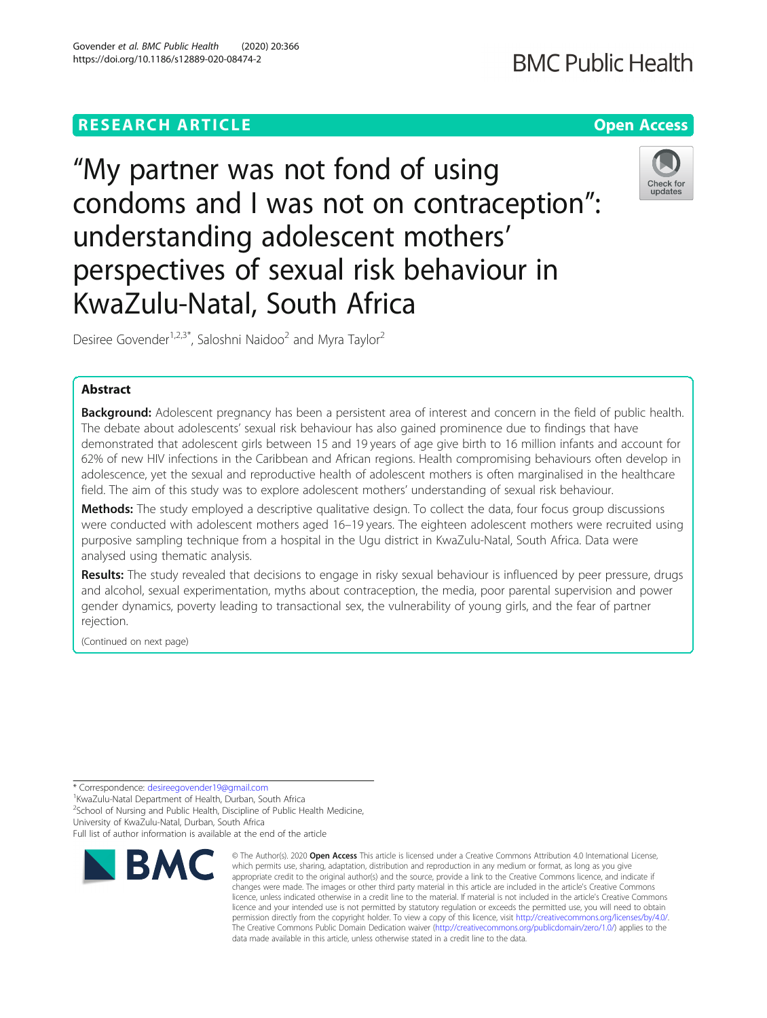# **RESEARCH ARTICLE Example 2014 12:30 The Contract of Contract ACCESS**

# "My partner was not fond of using condoms and I was not on contraception": understanding adolescent mothers'

perspectives of sexual risk behaviour in

Desiree Govender<sup>1,2,3\*</sup>, Saloshni Naidoo<sup>2</sup> and Myra Taylor<sup>2</sup>

KwaZulu-Natal, South Africa

# Abstract

Background: Adolescent pregnancy has been a persistent area of interest and concern in the field of public health. The debate about adolescents' sexual risk behaviour has also gained prominence due to findings that have demonstrated that adolescent girls between 15 and 19 years of age give birth to 16 million infants and account for 62% of new HIV infections in the Caribbean and African regions. Health compromising behaviours often develop in adolescence, yet the sexual and reproductive health of adolescent mothers is often marginalised in the healthcare field. The aim of this study was to explore adolescent mothers' understanding of sexual risk behaviour.

Methods: The study employed a descriptive qualitative design. To collect the data, four focus group discussions were conducted with adolescent mothers aged 16–19 years. The eighteen adolescent mothers were recruited using purposive sampling technique from a hospital in the Ugu district in KwaZulu-Natal, South Africa. Data were analysed using thematic analysis.

Results: The study revealed that decisions to engage in risky sexual behaviour is influenced by peer pressure, drugs and alcohol, sexual experimentation, myths about contraception, the media, poor parental supervision and power gender dynamics, poverty leading to transactional sex, the vulnerability of young girls, and the fear of partner rejection.

data made available in this article, unless otherwise stated in a credit line to the data.

© The Author(s), 2020 **Open Access** This article is licensed under a Creative Commons Attribution 4.0 International License, which permits use, sharing, adaptation, distribution and reproduction in any medium or format, as long as you give

(Continued on next page)

\* Correspondence: [desireegovender19@gmail.com](mailto:desireegovender19@gmail.com) <sup>1</sup>

**BMC** 

<sup>1</sup> KwaZulu-Natal Department of Health, Durban, South Africa <sup>2</sup>School of Nursing and Public Health, Discipline of Public Health Medicine, University of KwaZulu-Natal, Durban, South Africa

Full list of author information is available at the end of the article



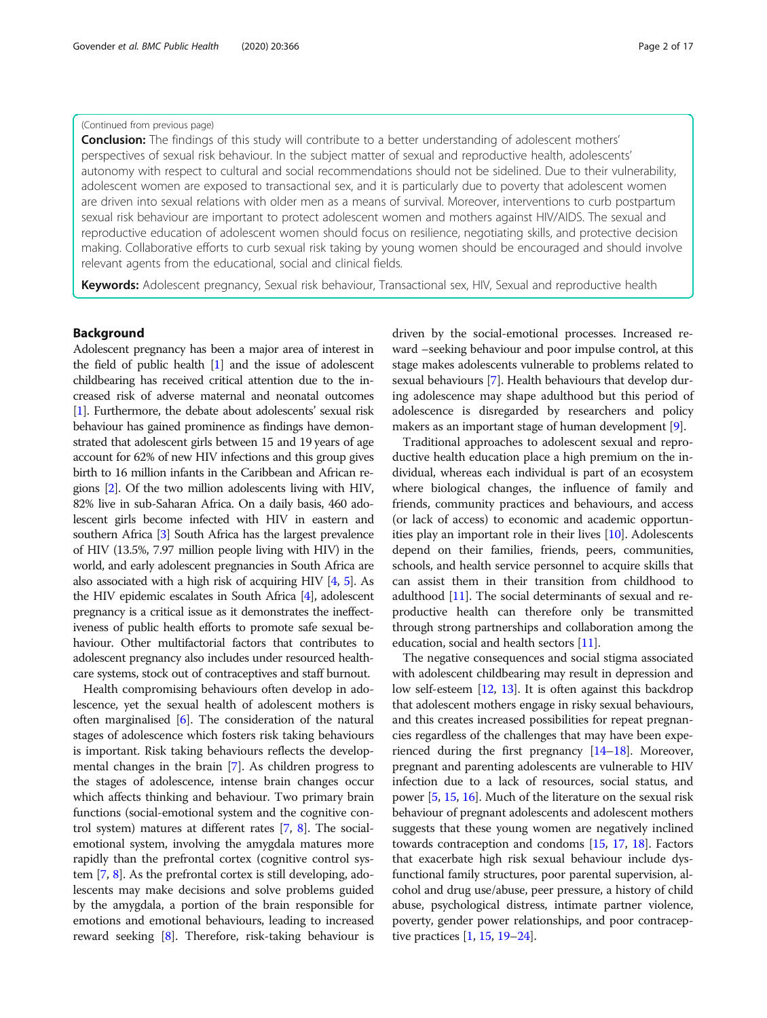#### (Continued from previous page)

**Conclusion:** The findings of this study will contribute to a better understanding of adolescent mothers' perspectives of sexual risk behaviour. In the subject matter of sexual and reproductive health, adolescents' autonomy with respect to cultural and social recommendations should not be sidelined. Due to their vulnerability, adolescent women are exposed to transactional sex, and it is particularly due to poverty that adolescent women are driven into sexual relations with older men as a means of survival. Moreover, interventions to curb postpartum sexual risk behaviour are important to protect adolescent women and mothers against HIV/AIDS. The sexual and reproductive education of adolescent women should focus on resilience, negotiating skills, and protective decision making. Collaborative efforts to curb sexual risk taking by young women should be encouraged and should involve relevant agents from the educational, social and clinical fields.

Keywords: Adolescent pregnancy, Sexual risk behaviour, Transactional sex, HIV, Sexual and reproductive health

#### Background

Adolescent pregnancy has been a major area of interest in the field of public health [\[1](#page-14-0)] and the issue of adolescent childbearing has received critical attention due to the increased risk of adverse maternal and neonatal outcomes [[1](#page-14-0)]. Furthermore, the debate about adolescents' sexual risk behaviour has gained prominence as findings have demonstrated that adolescent girls between 15 and 19 years of age account for 62% of new HIV infections and this group gives birth to 16 million infants in the Caribbean and African regions [\[2\]](#page-14-0). Of the two million adolescents living with HIV, 82% live in sub-Saharan Africa. On a daily basis, 460 adolescent girls become infected with HIV in eastern and southern Africa [\[3](#page-14-0)] South Africa has the largest prevalence of HIV (13.5%, 7.97 million people living with HIV) in the world, and early adolescent pregnancies in South Africa are also associated with a high risk of acquiring HIV [\[4,](#page-14-0) [5\]](#page-14-0). As the HIV epidemic escalates in South Africa [\[4](#page-14-0)], adolescent pregnancy is a critical issue as it demonstrates the ineffectiveness of public health efforts to promote safe sexual behaviour. Other multifactorial factors that contributes to adolescent pregnancy also includes under resourced healthcare systems, stock out of contraceptives and staff burnout.

Health compromising behaviours often develop in adolescence, yet the sexual health of adolescent mothers is often marginalised [[6\]](#page-14-0). The consideration of the natural stages of adolescence which fosters risk taking behaviours is important. Risk taking behaviours reflects the developmental changes in the brain [[7\]](#page-14-0). As children progress to the stages of adolescence, intense brain changes occur which affects thinking and behaviour. Two primary brain functions (social-emotional system and the cognitive control system) matures at different rates [\[7,](#page-14-0) [8\]](#page-14-0). The socialemotional system, involving the amygdala matures more rapidly than the prefrontal cortex (cognitive control system [\[7,](#page-14-0) [8](#page-14-0)]. As the prefrontal cortex is still developing, adolescents may make decisions and solve problems guided by the amygdala, a portion of the brain responsible for emotions and emotional behaviours, leading to increased reward seeking [\[8\]](#page-14-0). Therefore, risk-taking behaviour is driven by the social-emotional processes. Increased reward –seeking behaviour and poor impulse control, at this stage makes adolescents vulnerable to problems related to sexual behaviours [\[7\]](#page-14-0). Health behaviours that develop during adolescence may shape adulthood but this period of adolescence is disregarded by researchers and policy makers as an important stage of human development [\[9\]](#page-14-0).

Traditional approaches to adolescent sexual and reproductive health education place a high premium on the individual, whereas each individual is part of an ecosystem where biological changes, the influence of family and friends, community practices and behaviours, and access (or lack of access) to economic and academic opportunities play an important role in their lives [[10](#page-14-0)]. Adolescents depend on their families, friends, peers, communities, schools, and health service personnel to acquire skills that can assist them in their transition from childhood to adulthood [[11](#page-14-0)]. The social determinants of sexual and reproductive health can therefore only be transmitted through strong partnerships and collaboration among the education, social and health sectors [[11](#page-14-0)].

The negative consequences and social stigma associated with adolescent childbearing may result in depression and low self-esteem [[12,](#page-14-0) [13\]](#page-14-0). It is often against this backdrop that adolescent mothers engage in risky sexual behaviours, and this creates increased possibilities for repeat pregnancies regardless of the challenges that may have been experienced during the first pregnancy [\[14](#page-14-0)–[18](#page-14-0)]. Moreover, pregnant and parenting adolescents are vulnerable to HIV infection due to a lack of resources, social status, and power [\[5](#page-14-0), [15,](#page-14-0) [16\]](#page-14-0). Much of the literature on the sexual risk behaviour of pregnant adolescents and adolescent mothers suggests that these young women are negatively inclined towards contraception and condoms [\[15](#page-14-0), [17](#page-14-0), [18\]](#page-14-0). Factors that exacerbate high risk sexual behaviour include dysfunctional family structures, poor parental supervision, alcohol and drug use/abuse, peer pressure, a history of child abuse, psychological distress, intimate partner violence, poverty, gender power relationships, and poor contraceptive practices [[1](#page-14-0), [15,](#page-14-0) [19](#page-14-0)–[24\]](#page-14-0).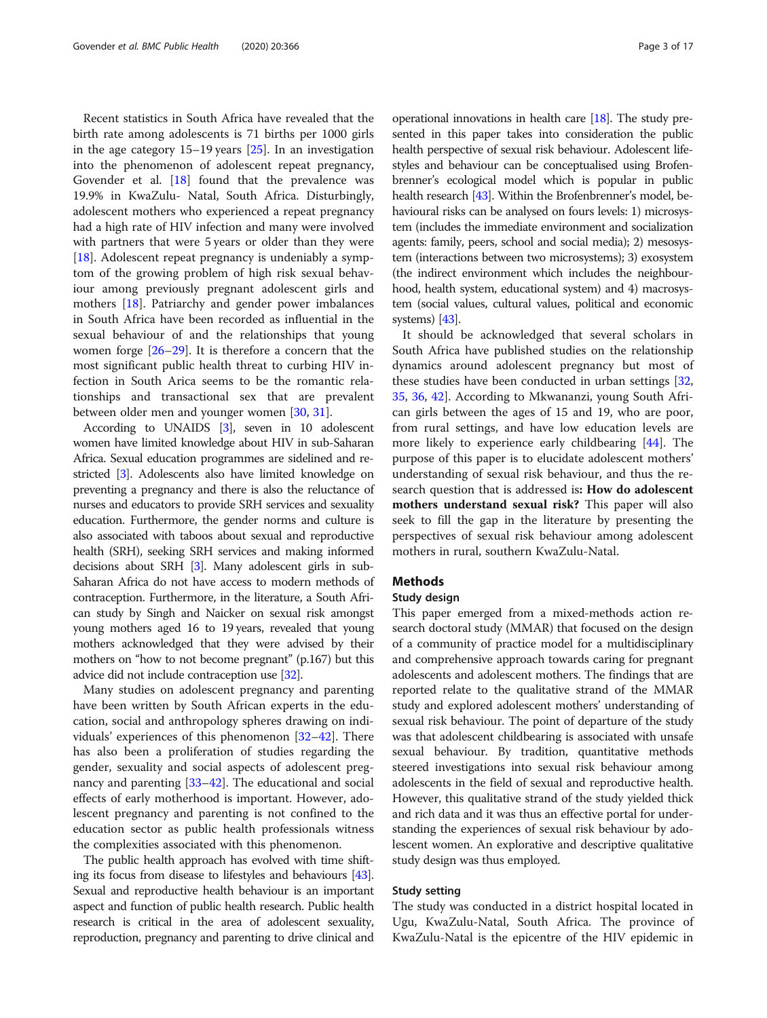Recent statistics in South Africa have revealed that the birth rate among adolescents is 71 births per 1000 girls in the age category 15–19 years [\[25](#page-14-0)]. In an investigation into the phenomenon of adolescent repeat pregnancy, Govender et al. [\[18](#page-14-0)] found that the prevalence was 19.9% in KwaZulu- Natal, South Africa. Disturbingly, adolescent mothers who experienced a repeat pregnancy had a high rate of HIV infection and many were involved with partners that were 5 years or older than they were [[18\]](#page-14-0). Adolescent repeat pregnancy is undeniably a symptom of the growing problem of high risk sexual behaviour among previously pregnant adolescent girls and mothers [\[18\]](#page-14-0). Patriarchy and gender power imbalances in South Africa have been recorded as influential in the sexual behaviour of and the relationships that young women forge [[26](#page-14-0)–[29](#page-14-0)]. It is therefore a concern that the most significant public health threat to curbing HIV infection in South Arica seems to be the romantic relationships and transactional sex that are prevalent between older men and younger women [\[30](#page-14-0), [31\]](#page-14-0).

According to UNAIDS [\[3\]](#page-14-0), seven in 10 adolescent women have limited knowledge about HIV in sub-Saharan Africa. Sexual education programmes are sidelined and restricted [\[3\]](#page-14-0). Adolescents also have limited knowledge on preventing a pregnancy and there is also the reluctance of nurses and educators to provide SRH services and sexuality education. Furthermore, the gender norms and culture is also associated with taboos about sexual and reproductive health (SRH), seeking SRH services and making informed decisions about SRH [[3](#page-14-0)]. Many adolescent girls in sub-Saharan Africa do not have access to modern methods of contraception. Furthermore, in the literature, a South African study by Singh and Naicker on sexual risk amongst young mothers aged 16 to 19 years, revealed that young mothers acknowledged that they were advised by their mothers on "how to not become pregnant" (p.167) but this advice did not include contraception use [[32](#page-14-0)].

Many studies on adolescent pregnancy and parenting have been written by South African experts in the education, social and anthropology spheres drawing on individuals' experiences of this phenomenon [[32](#page-14-0)–[42](#page-15-0)]. There has also been a proliferation of studies regarding the gender, sexuality and social aspects of adolescent pregnancy and parenting [[33](#page-14-0)–[42](#page-15-0)]. The educational and social effects of early motherhood is important. However, adolescent pregnancy and parenting is not confined to the education sector as public health professionals witness the complexities associated with this phenomenon.

The public health approach has evolved with time shifting its focus from disease to lifestyles and behaviours [\[43](#page-15-0)]. Sexual and reproductive health behaviour is an important aspect and function of public health research. Public health research is critical in the area of adolescent sexuality, reproduction, pregnancy and parenting to drive clinical and operational innovations in health care [\[18\]](#page-14-0). The study presented in this paper takes into consideration the public health perspective of sexual risk behaviour. Adolescent lifestyles and behaviour can be conceptualised using Brofenbrenner's ecological model which is popular in public health research [[43\]](#page-15-0). Within the Brofenbrenner's model, behavioural risks can be analysed on fours levels: 1) microsystem (includes the immediate environment and socialization agents: family, peers, school and social media); 2) mesosystem (interactions between two microsystems); 3) exosystem (the indirect environment which includes the neighbourhood, health system, educational system) and 4) macrosystem (social values, cultural values, political and economic systems) [[43\]](#page-15-0).

It should be acknowledged that several scholars in South Africa have published studies on the relationship dynamics around adolescent pregnancy but most of these studies have been conducted in urban settings [[32](#page-14-0), [35,](#page-14-0) [36,](#page-14-0) [42\]](#page-15-0). According to Mkwananzi, young South African girls between the ages of 15 and 19, who are poor, from rural settings, and have low education levels are more likely to experience early childbearing [\[44\]](#page-15-0). The purpose of this paper is to elucidate adolescent mothers' understanding of sexual risk behaviour, and thus the research question that is addressed is: How do adolescent mothers understand sexual risk? This paper will also seek to fill the gap in the literature by presenting the perspectives of sexual risk behaviour among adolescent mothers in rural, southern KwaZulu-Natal.

# Methods

## Study design

This paper emerged from a mixed-methods action research doctoral study (MMAR) that focused on the design of a community of practice model for a multidisciplinary and comprehensive approach towards caring for pregnant adolescents and adolescent mothers. The findings that are reported relate to the qualitative strand of the MMAR study and explored adolescent mothers' understanding of sexual risk behaviour. The point of departure of the study was that adolescent childbearing is associated with unsafe sexual behaviour. By tradition, quantitative methods steered investigations into sexual risk behaviour among adolescents in the field of sexual and reproductive health. However, this qualitative strand of the study yielded thick and rich data and it was thus an effective portal for understanding the experiences of sexual risk behaviour by adolescent women. An explorative and descriptive qualitative study design was thus employed.

## Study setting

The study was conducted in a district hospital located in Ugu, KwaZulu-Natal, South Africa. The province of KwaZulu-Natal is the epicentre of the HIV epidemic in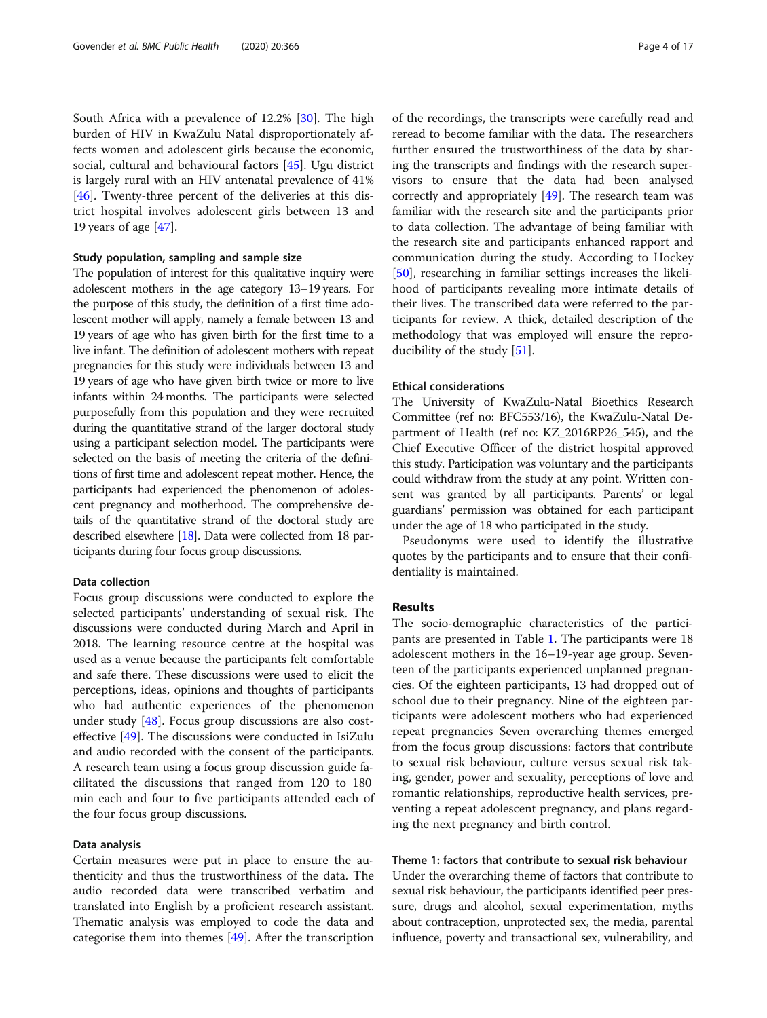South Africa with a prevalence of 12.2% [\[30](#page-14-0)]. The high burden of HIV in KwaZulu Natal disproportionately affects women and adolescent girls because the economic, social, cultural and behavioural factors [[45\]](#page-15-0). Ugu district is largely rural with an HIV antenatal prevalence of 41% [[46\]](#page-15-0). Twenty-three percent of the deliveries at this district hospital involves adolescent girls between 13 and 19 years of age [[47](#page-15-0)].

#### Study population, sampling and sample size

The population of interest for this qualitative inquiry were adolescent mothers in the age category 13–19 years. For the purpose of this study, the definition of a first time adolescent mother will apply, namely a female between 13 and 19 years of age who has given birth for the first time to a live infant. The definition of adolescent mothers with repeat pregnancies for this study were individuals between 13 and 19 years of age who have given birth twice or more to live infants within 24 months. The participants were selected purposefully from this population and they were recruited during the quantitative strand of the larger doctoral study using a participant selection model. The participants were selected on the basis of meeting the criteria of the definitions of first time and adolescent repeat mother. Hence, the participants had experienced the phenomenon of adolescent pregnancy and motherhood. The comprehensive details of the quantitative strand of the doctoral study are described elsewhere [\[18\]](#page-14-0). Data were collected from 18 participants during four focus group discussions.

# Data collection

Focus group discussions were conducted to explore the selected participants' understanding of sexual risk. The discussions were conducted during March and April in 2018. The learning resource centre at the hospital was used as a venue because the participants felt comfortable and safe there. These discussions were used to elicit the perceptions, ideas, opinions and thoughts of participants who had authentic experiences of the phenomenon under study [[48\]](#page-15-0). Focus group discussions are also costeffective [\[49](#page-15-0)]. The discussions were conducted in IsiZulu and audio recorded with the consent of the participants. A research team using a focus group discussion guide facilitated the discussions that ranged from 120 to 180 min each and four to five participants attended each of the four focus group discussions.

#### Data analysis

Certain measures were put in place to ensure the authenticity and thus the trustworthiness of the data. The audio recorded data were transcribed verbatim and translated into English by a proficient research assistant. Thematic analysis was employed to code the data and categorise them into themes [[49](#page-15-0)]. After the transcription of the recordings, the transcripts were carefully read and reread to become familiar with the data. The researchers further ensured the trustworthiness of the data by sharing the transcripts and findings with the research supervisors to ensure that the data had been analysed correctly and appropriately [[49](#page-15-0)]. The research team was familiar with the research site and the participants prior to data collection. The advantage of being familiar with the research site and participants enhanced rapport and communication during the study. According to Hockey [[50\]](#page-15-0), researching in familiar settings increases the likelihood of participants revealing more intimate details of their lives. The transcribed data were referred to the participants for review. A thick, detailed description of the methodology that was employed will ensure the reproducibility of the study [\[51](#page-15-0)].

#### Ethical considerations

The University of KwaZulu-Natal Bioethics Research Committee (ref no: BFC553/16), the KwaZulu-Natal Department of Health (ref no: KZ\_2016RP26\_545), and the Chief Executive Officer of the district hospital approved this study. Participation was voluntary and the participants could withdraw from the study at any point. Written consent was granted by all participants. Parents' or legal guardians' permission was obtained for each participant under the age of 18 who participated in the study.

Pseudonyms were used to identify the illustrative quotes by the participants and to ensure that their confidentiality is maintained.

#### Results

The socio-demographic characteristics of the participants are presented in Table [1](#page-4-0). The participants were 18 adolescent mothers in the 16–19-year age group. Seventeen of the participants experienced unplanned pregnancies. Of the eighteen participants, 13 had dropped out of school due to their pregnancy. Nine of the eighteen participants were adolescent mothers who had experienced repeat pregnancies Seven overarching themes emerged from the focus group discussions: factors that contribute to sexual risk behaviour, culture versus sexual risk taking, gender, power and sexuality, perceptions of love and romantic relationships, reproductive health services, preventing a repeat adolescent pregnancy, and plans regarding the next pregnancy and birth control.

## Theme 1: factors that contribute to sexual risk behaviour

Under the overarching theme of factors that contribute to sexual risk behaviour, the participants identified peer pressure, drugs and alcohol, sexual experimentation, myths about contraception, unprotected sex, the media, parental influence, poverty and transactional sex, vulnerability, and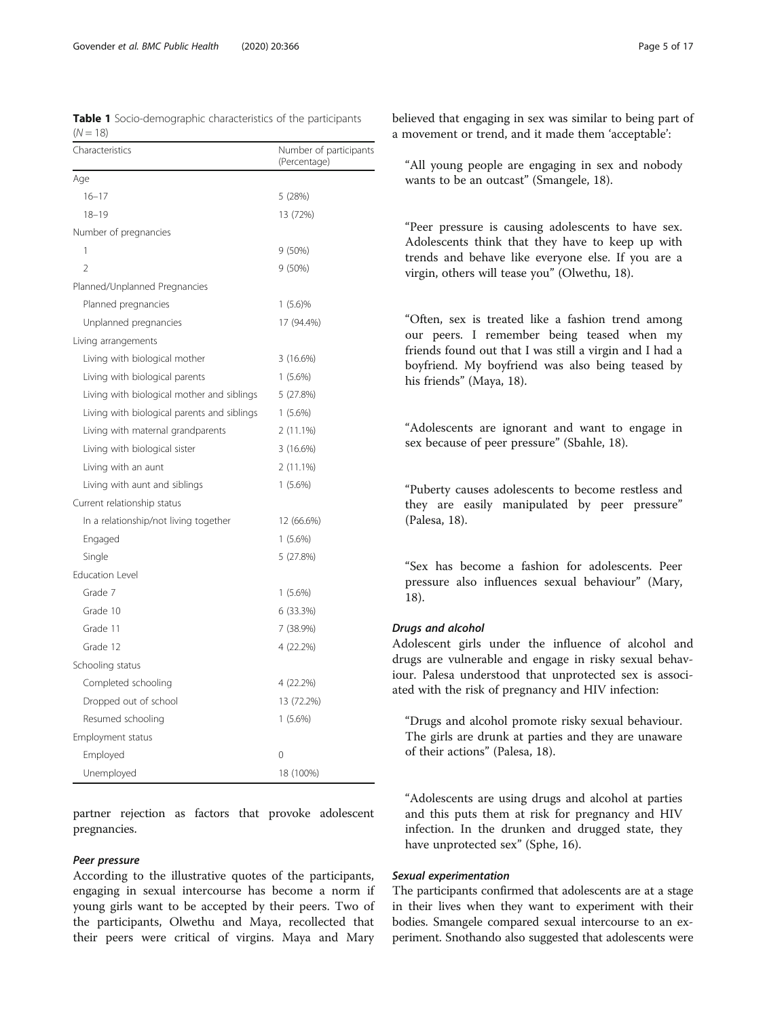<span id="page-4-0"></span>

|            | <b>Table 1</b> Socio-demographic characteristics of the participants |  |  |
|------------|----------------------------------------------------------------------|--|--|
| $(N = 18)$ |                                                                      |  |  |

| Characteristics                             | Number of participants<br>(Percentage) |  |  |  |
|---------------------------------------------|----------------------------------------|--|--|--|
| Age                                         |                                        |  |  |  |
| $16 - 17$                                   | 5 (28%)                                |  |  |  |
| $18 - 19$                                   | 13 (72%)                               |  |  |  |
| Number of pregnancies                       |                                        |  |  |  |
| 1                                           | 9(50%)                                 |  |  |  |
| $\overline{2}$                              | 9(50%)                                 |  |  |  |
| Planned/Unplanned Pregnancies               |                                        |  |  |  |
| Planned pregnancies                         | $1(5.6)\%$                             |  |  |  |
| Unplanned pregnancies                       | 17 (94.4%)                             |  |  |  |
| Living arrangements                         |                                        |  |  |  |
| Living with biological mother               | 3 (16.6%)                              |  |  |  |
| Living with biological parents              | $1(5.6\%)$                             |  |  |  |
| Living with biological mother and siblings  | 5 (27.8%)                              |  |  |  |
| Living with biological parents and siblings | $1(5.6\%)$                             |  |  |  |
| Living with maternal grandparents           | $2(11.1\%)$                            |  |  |  |
| Living with biological sister               | 3 (16.6%)                              |  |  |  |
| Living with an aunt                         | $2(11.1\%)$                            |  |  |  |
| Living with aunt and siblings               | $1(5.6\%)$                             |  |  |  |
| Current relationship status                 |                                        |  |  |  |
| In a relationship/not living together       | 12 (66.6%)                             |  |  |  |
| Engaged                                     | $1(5.6\%)$                             |  |  |  |
| Single                                      | 5 (27.8%)                              |  |  |  |
| <b>Education Level</b>                      |                                        |  |  |  |
| Grade 7                                     | $1(5.6\%)$                             |  |  |  |
| Grade 10                                    | 6 (33.3%)                              |  |  |  |
| Grade 11                                    | 7 (38.9%)                              |  |  |  |
| Grade 12                                    | 4 (22.2%)                              |  |  |  |
| Schooling status                            |                                        |  |  |  |
| Completed schooling                         | 4 (22.2%)                              |  |  |  |
| Dropped out of school                       | 13 (72.2%)                             |  |  |  |
| Resumed schooling                           | $1(5.6\%)$                             |  |  |  |
| Employment status                           |                                        |  |  |  |
| Employed                                    | $\Omega$                               |  |  |  |
| Unemployed                                  | 18 (100%)                              |  |  |  |

partner rejection as factors that provoke adolescent pregnancies.

#### Peer pressure

According to the illustrative quotes of the participants, engaging in sexual intercourse has become a norm if young girls want to be accepted by their peers. Two of the participants, Olwethu and Maya, recollected that their peers were critical of virgins. Maya and Mary

believed that engaging in sex was similar to being part of a movement or trend, and it made them 'acceptable':

"All young people are engaging in sex and nobody wants to be an outcast" (Smangele, 18).

"Peer pressure is causing adolescents to have sex. Adolescents think that they have to keep up with trends and behave like everyone else. If you are a virgin, others will tease you" (Olwethu, 18).

"Often, sex is treated like a fashion trend among our peers. I remember being teased when my friends found out that I was still a virgin and I had a boyfriend. My boyfriend was also being teased by his friends" (Maya, 18).

"Adolescents are ignorant and want to engage in sex because of peer pressure" (Sbahle, 18).

"Puberty causes adolescents to become restless and they are easily manipulated by peer pressure" (Palesa, 18).

"Sex has become a fashion for adolescents. Peer pressure also influences sexual behaviour" (Mary, 18).

#### Drugs and alcohol

Adolescent girls under the influence of alcohol and drugs are vulnerable and engage in risky sexual behaviour. Palesa understood that unprotected sex is associated with the risk of pregnancy and HIV infection:

"Drugs and alcohol promote risky sexual behaviour. The girls are drunk at parties and they are unaware of their actions" (Palesa, 18).

"Adolescents are using drugs and alcohol at parties and this puts them at risk for pregnancy and HIV infection. In the drunken and drugged state, they have unprotected sex" (Sphe, 16).

# Sexual experimentation

The participants confirmed that adolescents are at a stage in their lives when they want to experiment with their bodies. Smangele compared sexual intercourse to an experiment. Snothando also suggested that adolescents were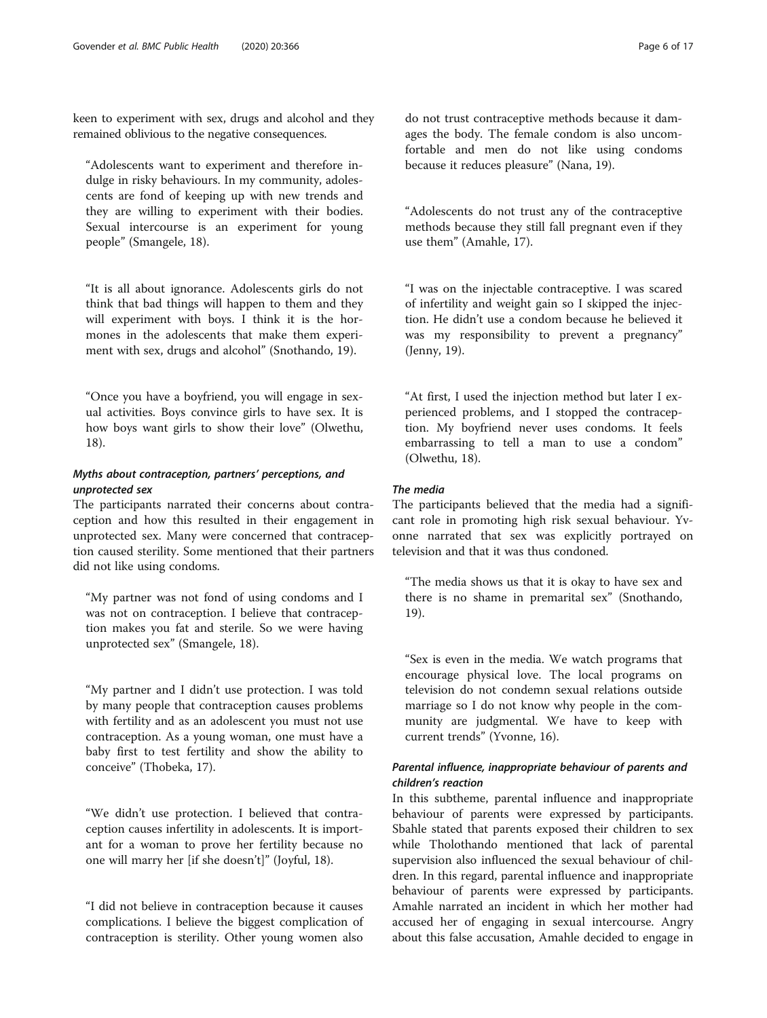keen to experiment with sex, drugs and alcohol and they remained oblivious to the negative consequences.

"Adolescents want to experiment and therefore indulge in risky behaviours. In my community, adolescents are fond of keeping up with new trends and they are willing to experiment with their bodies. Sexual intercourse is an experiment for young people" (Smangele, 18).

"It is all about ignorance. Adolescents girls do not think that bad things will happen to them and they will experiment with boys. I think it is the hormones in the adolescents that make them experiment with sex, drugs and alcohol" (Snothando, 19).

"Once you have a boyfriend, you will engage in sexual activities. Boys convince girls to have sex. It is how boys want girls to show their love" (Olwethu, 18).

# Myths about contraception, partners' perceptions, and unprotected sex

The participants narrated their concerns about contraception and how this resulted in their engagement in unprotected sex. Many were concerned that contraception caused sterility. Some mentioned that their partners did not like using condoms.

"My partner was not fond of using condoms and I was not on contraception. I believe that contraception makes you fat and sterile. So we were having unprotected sex" (Smangele, 18).

"My partner and I didn't use protection. I was told by many people that contraception causes problems with fertility and as an adolescent you must not use contraception. As a young woman, one must have a baby first to test fertility and show the ability to conceive" (Thobeka, 17).

"We didn't use protection. I believed that contraception causes infertility in adolescents. It is important for a woman to prove her fertility because no one will marry her [if she doesn't]" (Joyful, 18).

"I did not believe in contraception because it causes complications. I believe the biggest complication of contraception is sterility. Other young women also

do not trust contraceptive methods because it damages the body. The female condom is also uncomfortable and men do not like using condoms because it reduces pleasure" (Nana, 19).

"Adolescents do not trust any of the contraceptive methods because they still fall pregnant even if they use them" (Amahle, 17).

"I was on the injectable contraceptive. I was scared of infertility and weight gain so I skipped the injection. He didn't use a condom because he believed it was my responsibility to prevent a pregnancy" (Jenny, 19).

"At first, I used the injection method but later I experienced problems, and I stopped the contraception. My boyfriend never uses condoms. It feels embarrassing to tell a man to use a condom" (Olwethu, 18).

# The media

The participants believed that the media had a significant role in promoting high risk sexual behaviour. Yvonne narrated that sex was explicitly portrayed on television and that it was thus condoned.

"The media shows us that it is okay to have sex and there is no shame in premarital sex" (Snothando, 19).

"Sex is even in the media. We watch programs that encourage physical love. The local programs on television do not condemn sexual relations outside marriage so I do not know why people in the community are judgmental. We have to keep with current trends" (Yvonne, 16).

# Parental influence, inappropriate behaviour of parents and children's reaction

In this subtheme, parental influence and inappropriate behaviour of parents were expressed by participants. Sbahle stated that parents exposed their children to sex while Tholothando mentioned that lack of parental supervision also influenced the sexual behaviour of children. In this regard, parental influence and inappropriate behaviour of parents were expressed by participants. Amahle narrated an incident in which her mother had accused her of engaging in sexual intercourse. Angry about this false accusation, Amahle decided to engage in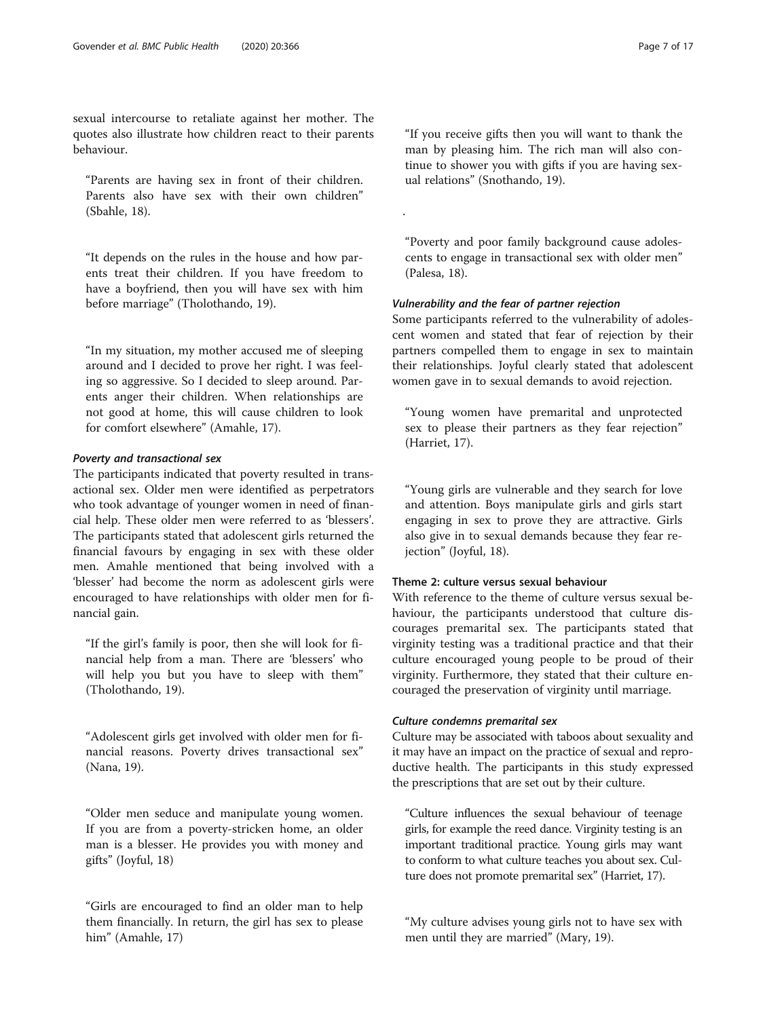sexual intercourse to retaliate against her mother. The quotes also illustrate how children react to their parents behaviour.

"Parents are having sex in front of their children. Parents also have sex with their own children" (Sbahle, 18).

"It depends on the rules in the house and how parents treat their children. If you have freedom to have a boyfriend, then you will have sex with him before marriage" (Tholothando, 19).

"In my situation, my mother accused me of sleeping around and I decided to prove her right. I was feeling so aggressive. So I decided to sleep around. Parents anger their children. When relationships are not good at home, this will cause children to look for comfort elsewhere" (Amahle, 17).

# Poverty and transactional sex

The participants indicated that poverty resulted in transactional sex. Older men were identified as perpetrators who took advantage of younger women in need of financial help. These older men were referred to as 'blessers'. The participants stated that adolescent girls returned the financial favours by engaging in sex with these older men. Amahle mentioned that being involved with a 'blesser' had become the norm as adolescent girls were encouraged to have relationships with older men for financial gain.

"If the girl's family is poor, then she will look for financial help from a man. There are 'blessers' who will help you but you have to sleep with them" (Tholothando, 19).

"Adolescent girls get involved with older men for financial reasons. Poverty drives transactional sex" (Nana, 19).

"Older men seduce and manipulate young women. If you are from a poverty-stricken home, an older man is a blesser. He provides you with money and gifts" (Joyful, 18)

"Girls are encouraged to find an older man to help them financially. In return, the girl has sex to please him" (Amahle, 17)

"If you receive gifts then you will want to thank the man by pleasing him. The rich man will also continue to shower you with gifts if you are having sexual relations" (Snothando, 19).

"Poverty and poor family background cause adolescents to engage in transactional sex with older men" (Palesa, 18).

#### Vulnerability and the fear of partner rejection

.

Some participants referred to the vulnerability of adolescent women and stated that fear of rejection by their partners compelled them to engage in sex to maintain their relationships. Joyful clearly stated that adolescent women gave in to sexual demands to avoid rejection.

"Young women have premarital and unprotected sex to please their partners as they fear rejection" (Harriet, 17).

"Young girls are vulnerable and they search for love and attention. Boys manipulate girls and girls start engaging in sex to prove they are attractive. Girls also give in to sexual demands because they fear rejection" (Joyful, 18).

# Theme 2: culture versus sexual behaviour

With reference to the theme of culture versus sexual behaviour, the participants understood that culture discourages premarital sex. The participants stated that virginity testing was a traditional practice and that their culture encouraged young people to be proud of their virginity. Furthermore, they stated that their culture encouraged the preservation of virginity until marriage.

# Culture condemns premarital sex

Culture may be associated with taboos about sexuality and it may have an impact on the practice of sexual and reproductive health. The participants in this study expressed the prescriptions that are set out by their culture.

"Culture influences the sexual behaviour of teenage girls, for example the reed dance. Virginity testing is an important traditional practice. Young girls may want to conform to what culture teaches you about sex. Culture does not promote premarital sex" (Harriet, 17).

"My culture advises young girls not to have sex with men until they are married" (Mary, 19).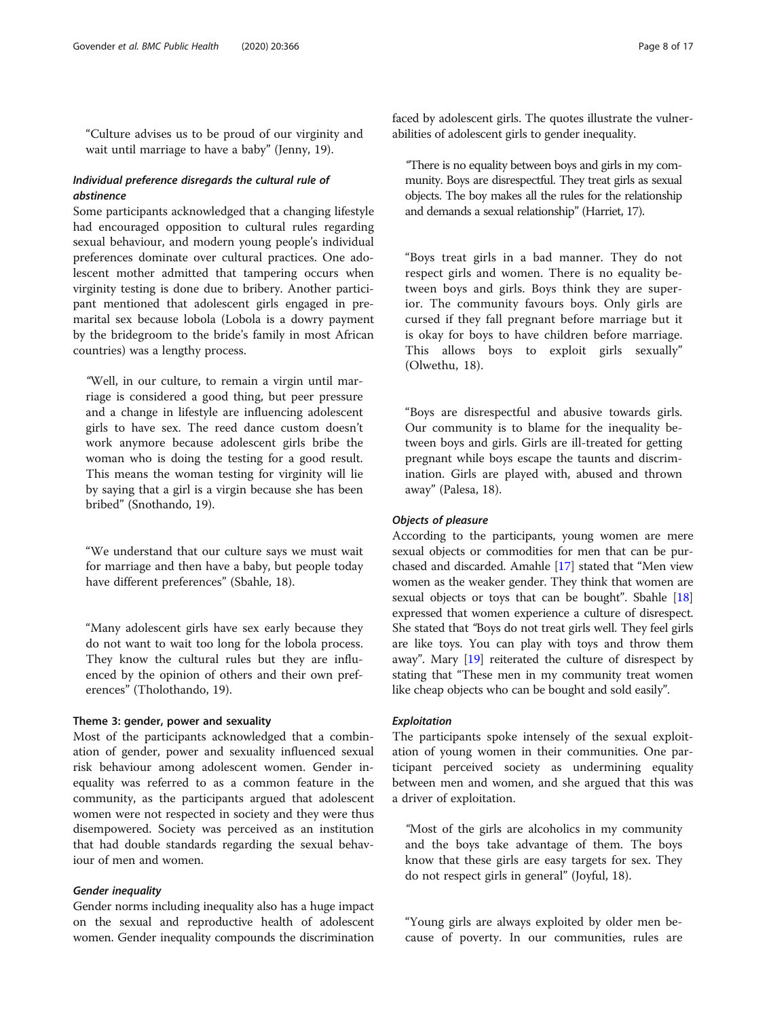"Culture advises us to be proud of our virginity and wait until marriage to have a baby" (Jenny, 19).

# Individual preference disregards the cultural rule of abstinence

Some participants acknowledged that a changing lifestyle had encouraged opposition to cultural rules regarding sexual behaviour, and modern young people's individual preferences dominate over cultural practices. One adolescent mother admitted that tampering occurs when virginity testing is done due to bribery. Another participant mentioned that adolescent girls engaged in premarital sex because lobola (Lobola is a dowry payment by the bridegroom to the bride's family in most African countries) was a lengthy process.

"Well, in our culture, to remain a virgin until marriage is considered a good thing, but peer pressure and a change in lifestyle are influencing adolescent girls to have sex. The reed dance custom doesn't work anymore because adolescent girls bribe the woman who is doing the testing for a good result. This means the woman testing for virginity will lie by saying that a girl is a virgin because she has been bribed" (Snothando, 19).

"We understand that our culture says we must wait for marriage and then have a baby, but people today have different preferences" (Sbahle, 18).

"Many adolescent girls have sex early because they do not want to wait too long for the lobola process. They know the cultural rules but they are influenced by the opinion of others and their own preferences" (Tholothando, 19).

#### Theme 3: gender, power and sexuality

Most of the participants acknowledged that a combination of gender, power and sexuality influenced sexual risk behaviour among adolescent women. Gender inequality was referred to as a common feature in the community, as the participants argued that adolescent women were not respected in society and they were thus disempowered. Society was perceived as an institution that had double standards regarding the sexual behaviour of men and women.

## Gender inequality

Gender norms including inequality also has a huge impact on the sexual and reproductive health of adolescent women. Gender inequality compounds the discrimination faced by adolescent girls. The quotes illustrate the vulnerabilities of adolescent girls to gender inequality.

"There is no equality between boys and girls in my community. Boys are disrespectful. They treat girls as sexual objects. The boy makes all the rules for the relationship and demands a sexual relationship" (Harriet, 17).

"Boys treat girls in a bad manner. They do not respect girls and women. There is no equality between boys and girls. Boys think they are superior. The community favours boys. Only girls are cursed if they fall pregnant before marriage but it is okay for boys to have children before marriage. This allows boys to exploit girls sexually" (Olwethu, 18).

"Boys are disrespectful and abusive towards girls. Our community is to blame for the inequality between boys and girls. Girls are ill-treated for getting pregnant while boys escape the taunts and discrimination. Girls are played with, abused and thrown away" (Palesa, 18).

#### Objects of pleasure

According to the participants, young women are mere sexual objects or commodities for men that can be purchased and discarded. Amahle [[17](#page-14-0)] stated that "Men view women as the weaker gender. They think that women are sexual objects or toys that can be bought". Sbahle [[18](#page-14-0)] expressed that women experience a culture of disrespect. She stated that "Boys do not treat girls well. They feel girls are like toys. You can play with toys and throw them away". Mary [\[19\]](#page-14-0) reiterated the culture of disrespect by stating that "These men in my community treat women like cheap objects who can be bought and sold easily".

# Exploitation

The participants spoke intensely of the sexual exploitation of young women in their communities. One participant perceived society as undermining equality between men and women, and she argued that this was a driver of exploitation.

"Most of the girls are alcoholics in my community and the boys take advantage of them. The boys know that these girls are easy targets for sex. They do not respect girls in general" (Joyful, 18).

"Young girls are always exploited by older men because of poverty. In our communities, rules are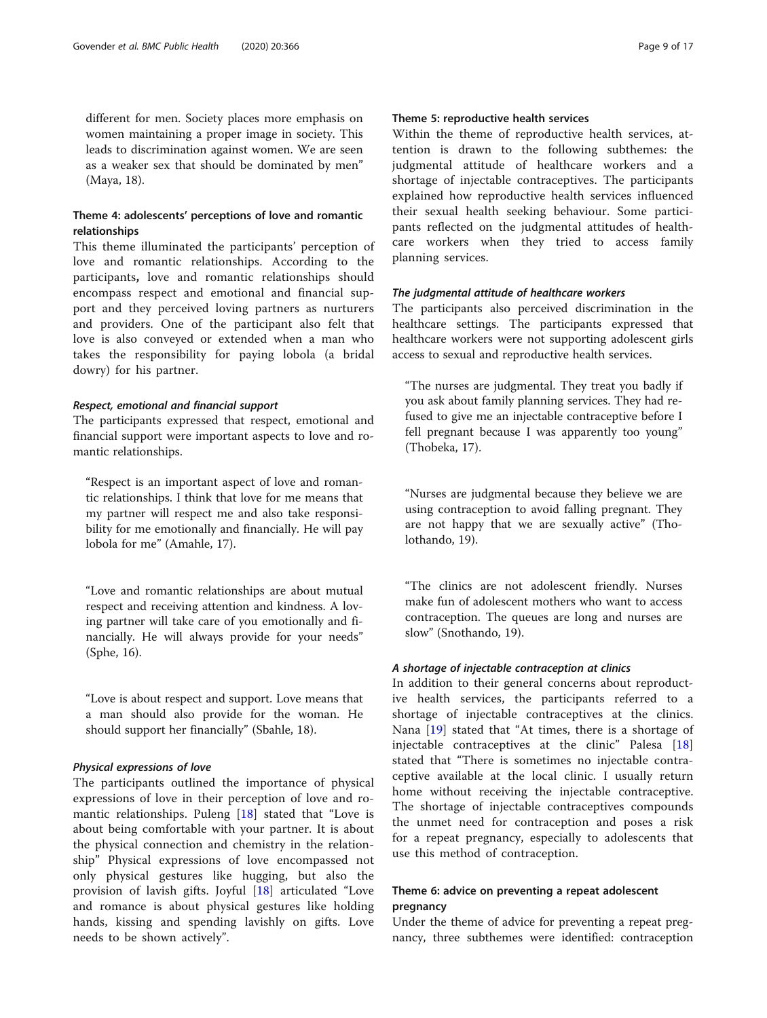different for men. Society places more emphasis on women maintaining a proper image in society. This leads to discrimination against women. We are seen as a weaker sex that should be dominated by men" (Maya, 18).

# Theme 4: adolescents' perceptions of love and romantic relationships

This theme illuminated the participants' perception of love and romantic relationships. According to the participants, love and romantic relationships should encompass respect and emotional and financial support and they perceived loving partners as nurturers and providers. One of the participant also felt that love is also conveyed or extended when a man who takes the responsibility for paying lobola (a bridal dowry) for his partner.

# Respect, emotional and financial support

The participants expressed that respect, emotional and financial support were important aspects to love and romantic relationships.

"Respect is an important aspect of love and romantic relationships. I think that love for me means that my partner will respect me and also take responsibility for me emotionally and financially. He will pay lobola for me" (Amahle, 17).

"Love and romantic relationships are about mutual respect and receiving attention and kindness. A loving partner will take care of you emotionally and financially. He will always provide for your needs" (Sphe, 16).

"Love is about respect and support. Love means that a man should also provide for the woman. He should support her financially" (Sbahle, 18).

# Physical expressions of love

The participants outlined the importance of physical expressions of love in their perception of love and romantic relationships. Puleng [[18\]](#page-14-0) stated that "Love is about being comfortable with your partner. It is about the physical connection and chemistry in the relationship" Physical expressions of love encompassed not only physical gestures like hugging, but also the provision of lavish gifts. Joyful [\[18](#page-14-0)] articulated "Love and romance is about physical gestures like holding hands, kissing and spending lavishly on gifts. Love needs to be shown actively".

# Theme 5: reproductive health services

Within the theme of reproductive health services, attention is drawn to the following subthemes: the judgmental attitude of healthcare workers and a shortage of injectable contraceptives. The participants explained how reproductive health services influenced their sexual health seeking behaviour. Some participants reflected on the judgmental attitudes of healthcare workers when they tried to access family planning services.

## The judgmental attitude of healthcare workers

The participants also perceived discrimination in the healthcare settings. The participants expressed that healthcare workers were not supporting adolescent girls access to sexual and reproductive health services.

"The nurses are judgmental. They treat you badly if you ask about family planning services. They had refused to give me an injectable contraceptive before I fell pregnant because I was apparently too young" (Thobeka, 17).

"Nurses are judgmental because they believe we are using contraception to avoid falling pregnant. They are not happy that we are sexually active" (Tholothando, 19).

"The clinics are not adolescent friendly. Nurses make fun of adolescent mothers who want to access contraception. The queues are long and nurses are slow" (Snothando, 19).

#### A shortage of injectable contraception at clinics

In addition to their general concerns about reproductive health services, the participants referred to a shortage of injectable contraceptives at the clinics. Nana [[19](#page-14-0)] stated that "At times, there is a shortage of injectable contraceptives at the clinic" Palesa [\[18](#page-14-0)] stated that "There is sometimes no injectable contraceptive available at the local clinic. I usually return home without receiving the injectable contraceptive. The shortage of injectable contraceptives compounds the unmet need for contraception and poses a risk for a repeat pregnancy, especially to adolescents that use this method of contraception.

# Theme 6: advice on preventing a repeat adolescent pregnancy

Under the theme of advice for preventing a repeat pregnancy, three subthemes were identified: contraception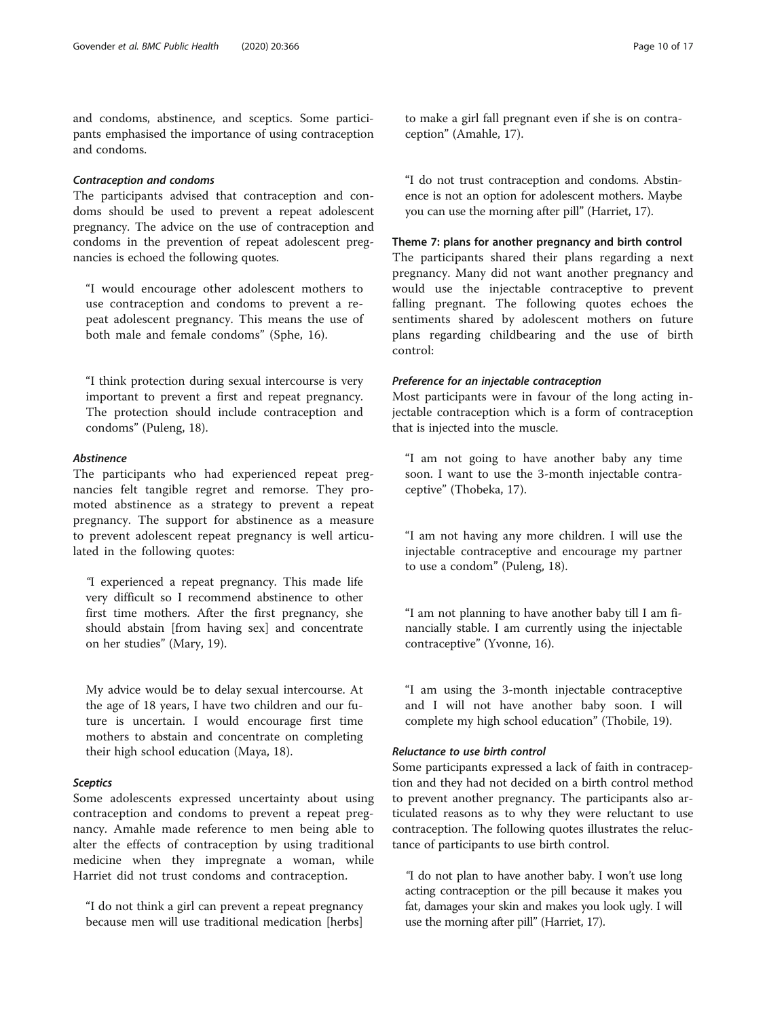and condoms, abstinence, and sceptics. Some participants emphasised the importance of using contraception and condoms.

## Contraception and condoms

The participants advised that contraception and condoms should be used to prevent a repeat adolescent pregnancy. The advice on the use of contraception and condoms in the prevention of repeat adolescent pregnancies is echoed the following quotes.

"I would encourage other adolescent mothers to use contraception and condoms to prevent a repeat adolescent pregnancy. This means the use of both male and female condoms" (Sphe, 16).

"I think protection during sexual intercourse is very important to prevent a first and repeat pregnancy. The protection should include contraception and condoms" (Puleng, 18).

#### Abstinence

The participants who had experienced repeat pregnancies felt tangible regret and remorse. They promoted abstinence as a strategy to prevent a repeat pregnancy. The support for abstinence as a measure to prevent adolescent repeat pregnancy is well articulated in the following quotes:

"I experienced a repeat pregnancy. This made life very difficult so I recommend abstinence to other first time mothers. After the first pregnancy, she should abstain [from having sex] and concentrate on her studies" (Mary, 19).

My advice would be to delay sexual intercourse. At the age of 18 years, I have two children and our future is uncertain. I would encourage first time mothers to abstain and concentrate on completing their high school education (Maya, 18).

#### **Sceptics**

Some adolescents expressed uncertainty about using contraception and condoms to prevent a repeat pregnancy. Amahle made reference to men being able to alter the effects of contraception by using traditional medicine when they impregnate a woman, while Harriet did not trust condoms and contraception.

"I do not think a girl can prevent a repeat pregnancy because men will use traditional medication [herbs]

to make a girl fall pregnant even if she is on contraception" (Amahle, 17).

"I do not trust contraception and condoms. Abstinence is not an option for adolescent mothers. Maybe you can use the morning after pill" (Harriet, 17).

#### Theme 7: plans for another pregnancy and birth control

The participants shared their plans regarding a next pregnancy. Many did not want another pregnancy and would use the injectable contraceptive to prevent falling pregnant. The following quotes echoes the sentiments shared by adolescent mothers on future plans regarding childbearing and the use of birth control:

#### Preference for an injectable contraception

Most participants were in favour of the long acting injectable contraception which is a form of contraception that is injected into the muscle.

"I am not going to have another baby any time soon. I want to use the 3-month injectable contraceptive" (Thobeka, 17).

"I am not having any more children. I will use the injectable contraceptive and encourage my partner to use a condom" (Puleng, 18).

"I am not planning to have another baby till I am financially stable. I am currently using the injectable contraceptive" (Yvonne, 16).

"I am using the 3-month injectable contraceptive and I will not have another baby soon. I will complete my high school education" (Thobile, 19).

#### Reluctance to use birth control

Some participants expressed a lack of faith in contraception and they had not decided on a birth control method to prevent another pregnancy. The participants also articulated reasons as to why they were reluctant to use contraception. The following quotes illustrates the reluctance of participants to use birth control.

"I do not plan to have another baby. I won't use long acting contraception or the pill because it makes you fat, damages your skin and makes you look ugly. I will use the morning after pill" (Harriet, 17).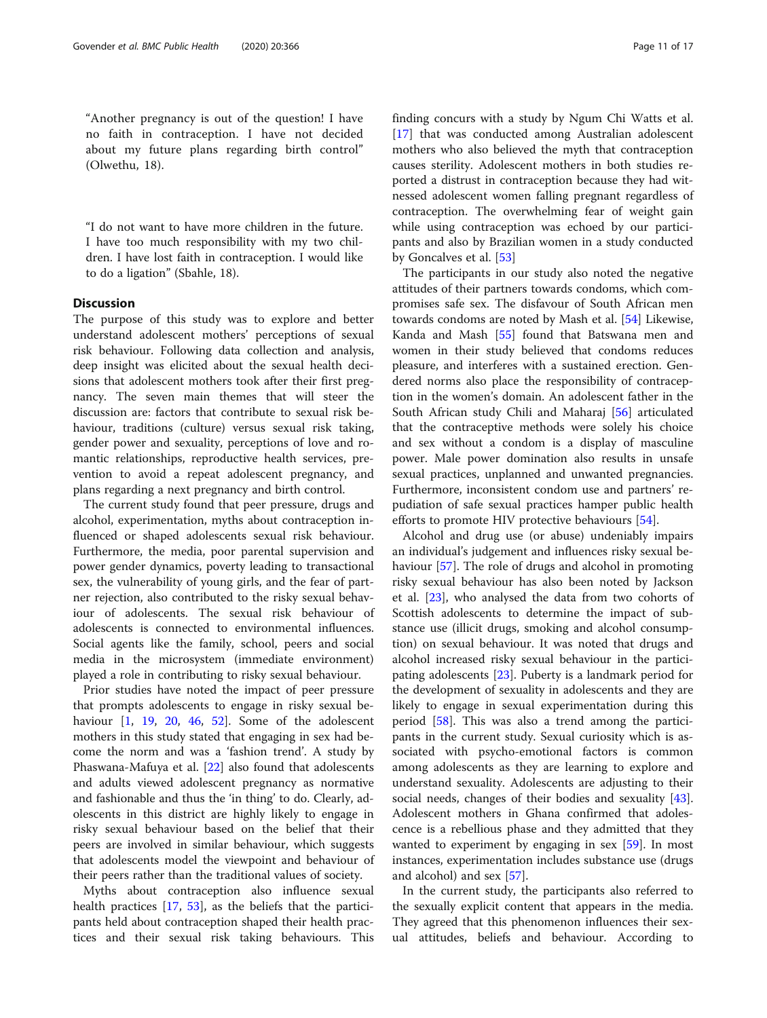"Another pregnancy is out of the question! I have no faith in contraception. I have not decided about my future plans regarding birth control" (Olwethu, 18).

"I do not want to have more children in the future. I have too much responsibility with my two children. I have lost faith in contraception. I would like to do a ligation" (Sbahle, 18).

#### **Discussion**

The purpose of this study was to explore and better understand adolescent mothers' perceptions of sexual risk behaviour. Following data collection and analysis, deep insight was elicited about the sexual health decisions that adolescent mothers took after their first pregnancy. The seven main themes that will steer the discussion are: factors that contribute to sexual risk behaviour, traditions (culture) versus sexual risk taking, gender power and sexuality, perceptions of love and romantic relationships, reproductive health services, prevention to avoid a repeat adolescent pregnancy, and plans regarding a next pregnancy and birth control.

The current study found that peer pressure, drugs and alcohol, experimentation, myths about contraception influenced or shaped adolescents sexual risk behaviour. Furthermore, the media, poor parental supervision and power gender dynamics, poverty leading to transactional sex, the vulnerability of young girls, and the fear of partner rejection, also contributed to the risky sexual behaviour of adolescents. The sexual risk behaviour of adolescents is connected to environmental influences. Social agents like the family, school, peers and social media in the microsystem (immediate environment) played a role in contributing to risky sexual behaviour.

Prior studies have noted the impact of peer pressure that prompts adolescents to engage in risky sexual behaviour [[1,](#page-14-0) [19,](#page-14-0) [20,](#page-14-0) [46](#page-15-0), [52](#page-15-0)]. Some of the adolescent mothers in this study stated that engaging in sex had become the norm and was a 'fashion trend'. A study by Phaswana-Mafuya et al. [\[22\]](#page-14-0) also found that adolescents and adults viewed adolescent pregnancy as normative and fashionable and thus the 'in thing' to do. Clearly, adolescents in this district are highly likely to engage in risky sexual behaviour based on the belief that their peers are involved in similar behaviour, which suggests that adolescents model the viewpoint and behaviour of their peers rather than the traditional values of society.

Myths about contraception also influence sexual health practices [\[17](#page-14-0), [53](#page-15-0)], as the beliefs that the participants held about contraception shaped their health practices and their sexual risk taking behaviours. This finding concurs with a study by Ngum Chi Watts et al. [[17\]](#page-14-0) that was conducted among Australian adolescent mothers who also believed the myth that contraception causes sterility. Adolescent mothers in both studies reported a distrust in contraception because they had witnessed adolescent women falling pregnant regardless of contraception. The overwhelming fear of weight gain while using contraception was echoed by our participants and also by Brazilian women in a study conducted by Goncalves et al. [[53](#page-15-0)]

The participants in our study also noted the negative attitudes of their partners towards condoms, which compromises safe sex. The disfavour of South African men towards condoms are noted by Mash et al. [[54](#page-15-0)] Likewise, Kanda and Mash [[55](#page-15-0)] found that Batswana men and women in their study believed that condoms reduces pleasure, and interferes with a sustained erection. Gendered norms also place the responsibility of contraception in the women's domain. An adolescent father in the South African study Chili and Maharaj [\[56\]](#page-15-0) articulated that the contraceptive methods were solely his choice and sex without a condom is a display of masculine power. Male power domination also results in unsafe sexual practices, unplanned and unwanted pregnancies. Furthermore, inconsistent condom use and partners' repudiation of safe sexual practices hamper public health efforts to promote HIV protective behaviours [[54\]](#page-15-0).

Alcohol and drug use (or abuse) undeniably impairs an individual's judgement and influences risky sexual behaviour [[57\]](#page-15-0). The role of drugs and alcohol in promoting risky sexual behaviour has also been noted by Jackson et al. [\[23](#page-14-0)], who analysed the data from two cohorts of Scottish adolescents to determine the impact of substance use (illicit drugs, smoking and alcohol consumption) on sexual behaviour. It was noted that drugs and alcohol increased risky sexual behaviour in the participating adolescents [\[23\]](#page-14-0). Puberty is a landmark period for the development of sexuality in adolescents and they are likely to engage in sexual experimentation during this period [[58\]](#page-15-0). This was also a trend among the participants in the current study. Sexual curiosity which is associated with psycho-emotional factors is common among adolescents as they are learning to explore and understand sexuality. Adolescents are adjusting to their social needs, changes of their bodies and sexuality [\[43](#page-15-0)]. Adolescent mothers in Ghana confirmed that adolescence is a rebellious phase and they admitted that they wanted to experiment by engaging in sex [[59](#page-15-0)]. In most instances, experimentation includes substance use (drugs and alcohol) and sex [\[57](#page-15-0)].

In the current study, the participants also referred to the sexually explicit content that appears in the media. They agreed that this phenomenon influences their sexual attitudes, beliefs and behaviour. According to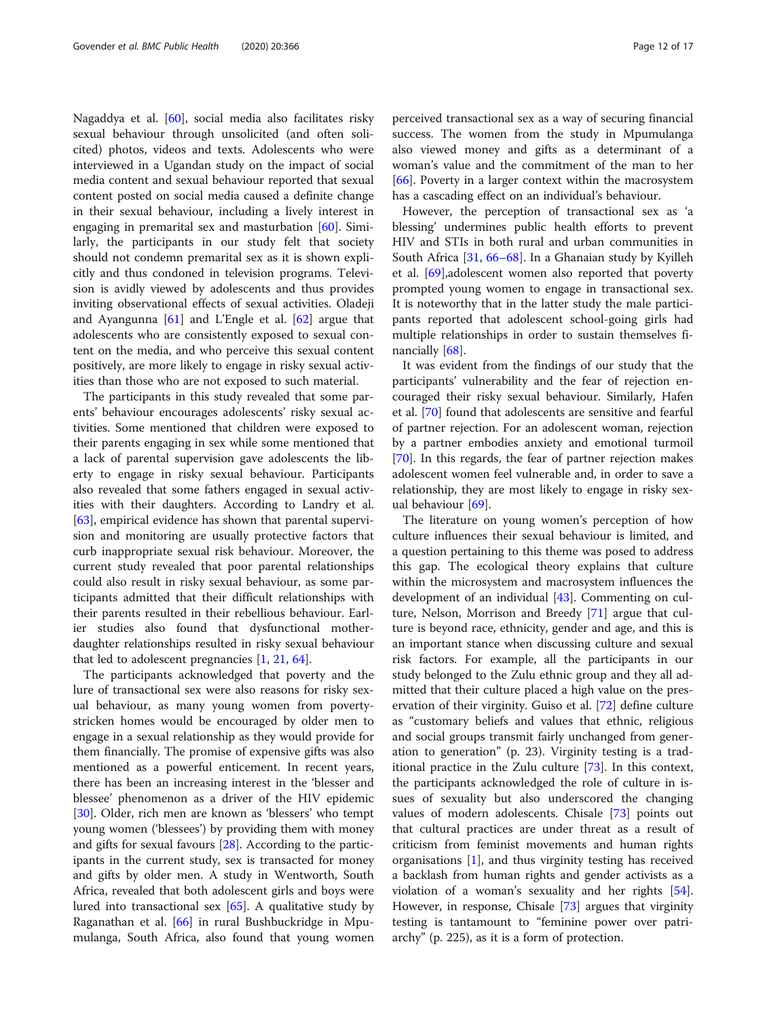Nagaddya et al. [[60\]](#page-15-0), social media also facilitates risky sexual behaviour through unsolicited (and often solicited) photos, videos and texts. Adolescents who were interviewed in a Ugandan study on the impact of social media content and sexual behaviour reported that sexual content posted on social media caused a definite change in their sexual behaviour, including a lively interest in engaging in premarital sex and masturbation  $[60]$  $[60]$ . Similarly, the participants in our study felt that society should not condemn premarital sex as it is shown explicitly and thus condoned in television programs. Television is avidly viewed by adolescents and thus provides inviting observational effects of sexual activities. Oladeji and Ayangunna [\[61\]](#page-15-0) and L'Engle et al. [\[62\]](#page-15-0) argue that adolescents who are consistently exposed to sexual content on the media, and who perceive this sexual content positively, are more likely to engage in risky sexual activities than those who are not exposed to such material.

The participants in this study revealed that some parents' behaviour encourages adolescents' risky sexual activities. Some mentioned that children were exposed to their parents engaging in sex while some mentioned that a lack of parental supervision gave adolescents the liberty to engage in risky sexual behaviour. Participants also revealed that some fathers engaged in sexual activities with their daughters. According to Landry et al. [[63\]](#page-15-0), empirical evidence has shown that parental supervision and monitoring are usually protective factors that curb inappropriate sexual risk behaviour. Moreover, the current study revealed that poor parental relationships could also result in risky sexual behaviour, as some participants admitted that their difficult relationships with their parents resulted in their rebellious behaviour. Earlier studies also found that dysfunctional motherdaughter relationships resulted in risky sexual behaviour that led to adolescent pregnancies [\[1](#page-14-0), [21](#page-14-0), [64\]](#page-15-0).

The participants acknowledged that poverty and the lure of transactional sex were also reasons for risky sexual behaviour, as many young women from povertystricken homes would be encouraged by older men to engage in a sexual relationship as they would provide for them financially. The promise of expensive gifts was also mentioned as a powerful enticement. In recent years, there has been an increasing interest in the 'blesser and blessee' phenomenon as a driver of the HIV epidemic [[30\]](#page-14-0). Older, rich men are known as 'blessers' who tempt young women ('blessees') by providing them with money and gifts for sexual favours [\[28\]](#page-14-0). According to the participants in the current study, sex is transacted for money and gifts by older men. A study in Wentworth, South Africa, revealed that both adolescent girls and boys were lured into transactional sex [[65\]](#page-15-0). A qualitative study by Raganathan et al. [[66\]](#page-15-0) in rural Bushbuckridge in Mpumulanga, South Africa, also found that young women perceived transactional sex as a way of securing financial success. The women from the study in Mpumulanga also viewed money and gifts as a determinant of a woman's value and the commitment of the man to her [[66\]](#page-15-0). Poverty in a larger context within the macrosystem has a cascading effect on an individual's behaviour.

However, the perception of transactional sex as 'a blessing' undermines public health efforts to prevent HIV and STIs in both rural and urban communities in South Africa [[31,](#page-14-0) [66](#page-15-0)–[68](#page-15-0)]. In a Ghanaian study by Kyilleh et al. [[69\]](#page-15-0),adolescent women also reported that poverty prompted young women to engage in transactional sex. It is noteworthy that in the latter study the male participants reported that adolescent school-going girls had multiple relationships in order to sustain themselves financially [[68\]](#page-15-0).

It was evident from the findings of our study that the participants' vulnerability and the fear of rejection encouraged their risky sexual behaviour. Similarly, Hafen et al. [\[70](#page-15-0)] found that adolescents are sensitive and fearful of partner rejection. For an adolescent woman, rejection by a partner embodies anxiety and emotional turmoil [[70\]](#page-15-0). In this regards, the fear of partner rejection makes adolescent women feel vulnerable and, in order to save a relationship, they are most likely to engage in risky sex-ual behaviour [\[69](#page-15-0)].

The literature on young women's perception of how culture influences their sexual behaviour is limited, and a question pertaining to this theme was posed to address this gap. The ecological theory explains that culture within the microsystem and macrosystem influences the development of an individual [[43](#page-15-0)]. Commenting on culture, Nelson, Morrison and Breedy [\[71\]](#page-15-0) argue that culture is beyond race, ethnicity, gender and age, and this is an important stance when discussing culture and sexual risk factors. For example, all the participants in our study belonged to the Zulu ethnic group and they all admitted that their culture placed a high value on the preservation of their virginity. Guiso et al. [[72\]](#page-15-0) define culture as "customary beliefs and values that ethnic, religious and social groups transmit fairly unchanged from generation to generation" (p. 23). Virginity testing is a traditional practice in the Zulu culture [\[73](#page-15-0)]. In this context, the participants acknowledged the role of culture in issues of sexuality but also underscored the changing values of modern adolescents. Chisale [[73](#page-15-0)] points out that cultural practices are under threat as a result of criticism from feminist movements and human rights organisations [[1\]](#page-14-0), and thus virginity testing has received a backlash from human rights and gender activists as a violation of a woman's sexuality and her rights [\[54](#page-15-0)]. However, in response, Chisale [[73\]](#page-15-0) argues that virginity testing is tantamount to "feminine power over patriarchy" (p. 225), as it is a form of protection.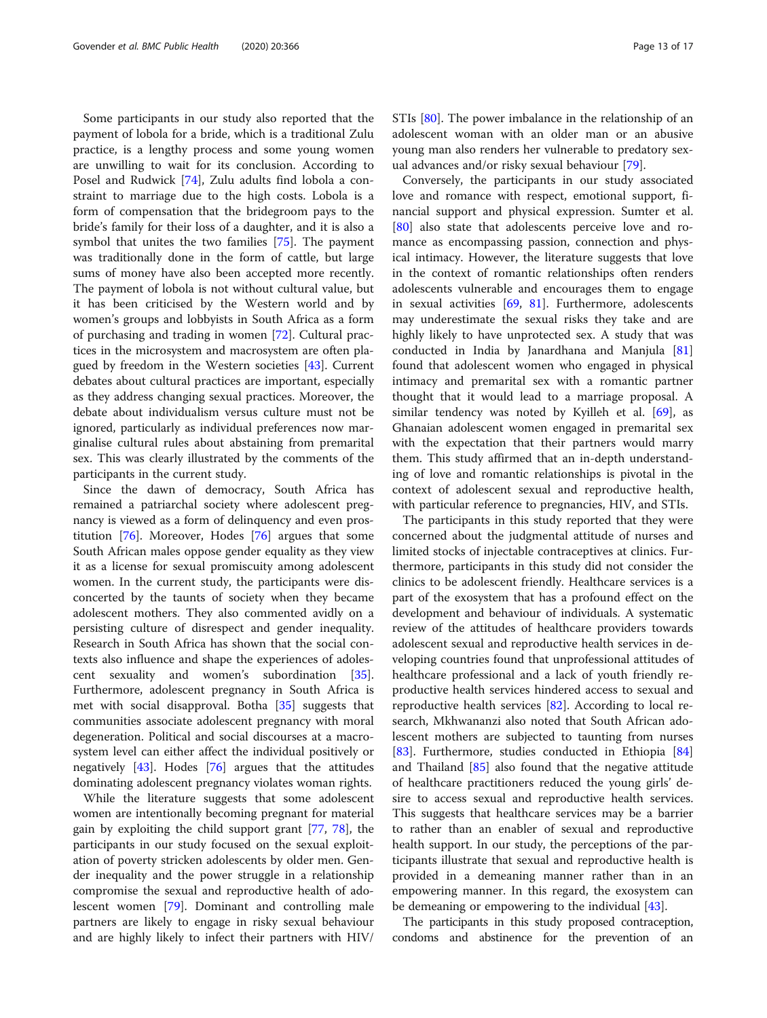Some participants in our study also reported that the payment of lobola for a bride, which is a traditional Zulu practice, is a lengthy process and some young women are unwilling to wait for its conclusion. According to Posel and Rudwick [[74](#page-15-0)], Zulu adults find lobola a constraint to marriage due to the high costs. Lobola is a form of compensation that the bridegroom pays to the bride's family for their loss of a daughter, and it is also a symbol that unites the two families [\[75](#page-15-0)]. The payment was traditionally done in the form of cattle, but large sums of money have also been accepted more recently. The payment of lobola is not without cultural value, but it has been criticised by the Western world and by women's groups and lobbyists in South Africa as a form of purchasing and trading in women [\[72\]](#page-15-0). Cultural practices in the microsystem and macrosystem are often plagued by freedom in the Western societies [\[43](#page-15-0)]. Current debates about cultural practices are important, especially as they address changing sexual practices. Moreover, the debate about individualism versus culture must not be ignored, particularly as individual preferences now marginalise cultural rules about abstaining from premarital sex. This was clearly illustrated by the comments of the participants in the current study.

Since the dawn of democracy, South Africa has remained a patriarchal society where adolescent pregnancy is viewed as a form of delinquency and even prostitution [[76](#page-15-0)]. Moreover, Hodes [[76\]](#page-15-0) argues that some South African males oppose gender equality as they view it as a license for sexual promiscuity among adolescent women. In the current study, the participants were disconcerted by the taunts of society when they became adolescent mothers. They also commented avidly on a persisting culture of disrespect and gender inequality. Research in South Africa has shown that the social contexts also influence and shape the experiences of adolescent sexuality and women's subordination [\[35](#page-14-0)]. Furthermore, adolescent pregnancy in South Africa is met with social disapproval. Botha [[35\]](#page-14-0) suggests that communities associate adolescent pregnancy with moral degeneration. Political and social discourses at a macrosystem level can either affect the individual positively or negatively [\[43](#page-15-0)]. Hodes [[76\]](#page-15-0) argues that the attitudes dominating adolescent pregnancy violates woman rights.

While the literature suggests that some adolescent women are intentionally becoming pregnant for material gain by exploiting the child support grant [\[77,](#page-15-0) [78](#page-15-0)], the participants in our study focused on the sexual exploitation of poverty stricken adolescents by older men. Gender inequality and the power struggle in a relationship compromise the sexual and reproductive health of adolescent women [\[79](#page-15-0)]. Dominant and controlling male partners are likely to engage in risky sexual behaviour and are highly likely to infect their partners with HIV/ STIs [\[80](#page-15-0)]. The power imbalance in the relationship of an adolescent woman with an older man or an abusive young man also renders her vulnerable to predatory sexual advances and/or risky sexual behaviour [[79\]](#page-15-0).

Conversely, the participants in our study associated love and romance with respect, emotional support, financial support and physical expression. Sumter et al. [[80\]](#page-15-0) also state that adolescents perceive love and romance as encompassing passion, connection and physical intimacy. However, the literature suggests that love in the context of romantic relationships often renders adolescents vulnerable and encourages them to engage in sexual activities [[69](#page-15-0), [81](#page-15-0)]. Furthermore, adolescents may underestimate the sexual risks they take and are highly likely to have unprotected sex. A study that was conducted in India by Janardhana and Manjula [[81](#page-15-0)] found that adolescent women who engaged in physical intimacy and premarital sex with a romantic partner thought that it would lead to a marriage proposal. A similar tendency was noted by Kyilleh et al. [[69\]](#page-15-0), as Ghanaian adolescent women engaged in premarital sex with the expectation that their partners would marry them. This study affirmed that an in-depth understanding of love and romantic relationships is pivotal in the context of adolescent sexual and reproductive health, with particular reference to pregnancies, HIV, and STIs.

The participants in this study reported that they were concerned about the judgmental attitude of nurses and limited stocks of injectable contraceptives at clinics. Furthermore, participants in this study did not consider the clinics to be adolescent friendly. Healthcare services is a part of the exosystem that has a profound effect on the development and behaviour of individuals. A systematic review of the attitudes of healthcare providers towards adolescent sexual and reproductive health services in developing countries found that unprofessional attitudes of healthcare professional and a lack of youth friendly reproductive health services hindered access to sexual and reproductive health services [\[82](#page-15-0)]. According to local research, Mkhwananzi also noted that South African adolescent mothers are subjected to taunting from nurses [[83\]](#page-15-0). Furthermore, studies conducted in Ethiopia [[84](#page-15-0)] and Thailand [\[85](#page-15-0)] also found that the negative attitude of healthcare practitioners reduced the young girls' desire to access sexual and reproductive health services. This suggests that healthcare services may be a barrier to rather than an enabler of sexual and reproductive health support. In our study, the perceptions of the participants illustrate that sexual and reproductive health is provided in a demeaning manner rather than in an empowering manner. In this regard, the exosystem can be demeaning or empowering to the individual [\[43](#page-15-0)].

The participants in this study proposed contraception, condoms and abstinence for the prevention of an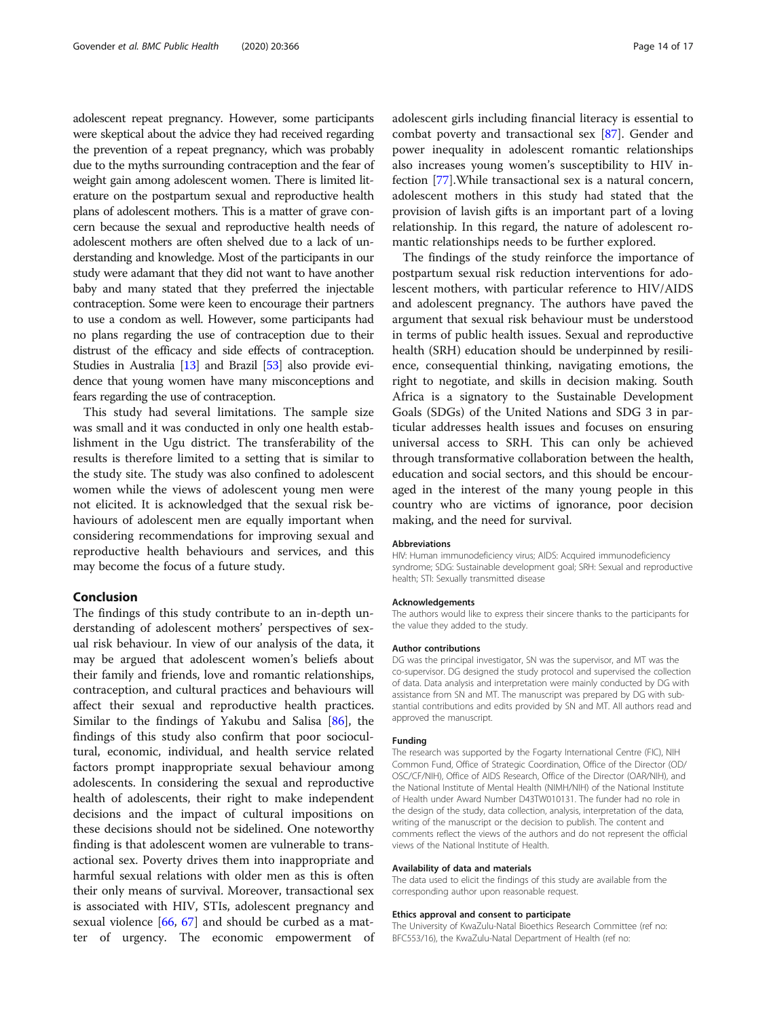adolescent repeat pregnancy. However, some participants were skeptical about the advice they had received regarding the prevention of a repeat pregnancy, which was probably due to the myths surrounding contraception and the fear of weight gain among adolescent women. There is limited literature on the postpartum sexual and reproductive health plans of adolescent mothers. This is a matter of grave concern because the sexual and reproductive health needs of adolescent mothers are often shelved due to a lack of understanding and knowledge. Most of the participants in our study were adamant that they did not want to have another baby and many stated that they preferred the injectable contraception. Some were keen to encourage their partners to use a condom as well. However, some participants had no plans regarding the use of contraception due to their distrust of the efficacy and side effects of contraception. Studies in Australia [[13](#page-14-0)] and Brazil [\[53](#page-15-0)] also provide evidence that young women have many misconceptions and fears regarding the use of contraception.

This study had several limitations. The sample size was small and it was conducted in only one health establishment in the Ugu district. The transferability of the results is therefore limited to a setting that is similar to the study site. The study was also confined to adolescent women while the views of adolescent young men were not elicited. It is acknowledged that the sexual risk behaviours of adolescent men are equally important when considering recommendations for improving sexual and reproductive health behaviours and services, and this may become the focus of a future study.

# Conclusion

The findings of this study contribute to an in-depth understanding of adolescent mothers' perspectives of sexual risk behaviour. In view of our analysis of the data, it may be argued that adolescent women's beliefs about their family and friends, love and romantic relationships, contraception, and cultural practices and behaviours will affect their sexual and reproductive health practices. Similar to the findings of Yakubu and Salisa [[86\]](#page-16-0), the findings of this study also confirm that poor sociocultural, economic, individual, and health service related factors prompt inappropriate sexual behaviour among adolescents. In considering the sexual and reproductive health of adolescents, their right to make independent decisions and the impact of cultural impositions on these decisions should not be sidelined. One noteworthy finding is that adolescent women are vulnerable to transactional sex. Poverty drives them into inappropriate and harmful sexual relations with older men as this is often their only means of survival. Moreover, transactional sex is associated with HIV, STIs, adolescent pregnancy and sexual violence [[66](#page-15-0), [67\]](#page-15-0) and should be curbed as a matter of urgency. The economic empowerment of adolescent girls including financial literacy is essential to combat poverty and transactional sex [[87\]](#page-16-0). Gender and power inequality in adolescent romantic relationships also increases young women's susceptibility to HIV infection [\[77\]](#page-15-0).While transactional sex is a natural concern, adolescent mothers in this study had stated that the provision of lavish gifts is an important part of a loving relationship. In this regard, the nature of adolescent romantic relationships needs to be further explored.

The findings of the study reinforce the importance of postpartum sexual risk reduction interventions for adolescent mothers, with particular reference to HIV/AIDS and adolescent pregnancy. The authors have paved the argument that sexual risk behaviour must be understood in terms of public health issues. Sexual and reproductive health (SRH) education should be underpinned by resilience, consequential thinking, navigating emotions, the right to negotiate, and skills in decision making. South Africa is a signatory to the Sustainable Development Goals (SDGs) of the United Nations and SDG 3 in particular addresses health issues and focuses on ensuring universal access to SRH. This can only be achieved through transformative collaboration between the health, education and social sectors, and this should be encouraged in the interest of the many young people in this country who are victims of ignorance, poor decision making, and the need for survival.

#### Abbreviations

HIV: Human immunodeficiency virus; AIDS: Acquired immunodeficiency syndrome; SDG: Sustainable development goal; SRH: Sexual and reproductive health; STI: Sexually transmitted disease

#### Acknowledgements

The authors would like to express their sincere thanks to the participants for the value they added to the study.

#### Author contributions

DG was the principal investigator, SN was the supervisor, and MT was the co-supervisor. DG designed the study protocol and supervised the collection of data. Data analysis and interpretation were mainly conducted by DG with assistance from SN and MT. The manuscript was prepared by DG with substantial contributions and edits provided by SN and MT. All authors read and approved the manuscript.

#### Funding

The research was supported by the Fogarty International Centre (FIC), NIH Common Fund, Office of Strategic Coordination, Office of the Director (OD/ OSC/CF/NIH), Office of AIDS Research, Office of the Director (OAR/NIH), and the National Institute of Mental Health (NIMH/NIH) of the National Institute of Health under Award Number D43TW010131. The funder had no role in the design of the study, data collection, analysis, interpretation of the data, writing of the manuscript or the decision to publish. The content and comments reflect the views of the authors and do not represent the official views of the National Institute of Health.

#### Availability of data and materials

The data used to elicit the findings of this study are available from the corresponding author upon reasonable request.

#### Ethics approval and consent to participate

The University of KwaZulu-Natal Bioethics Research Committee (ref no: BFC553/16), the KwaZulu-Natal Department of Health (ref no: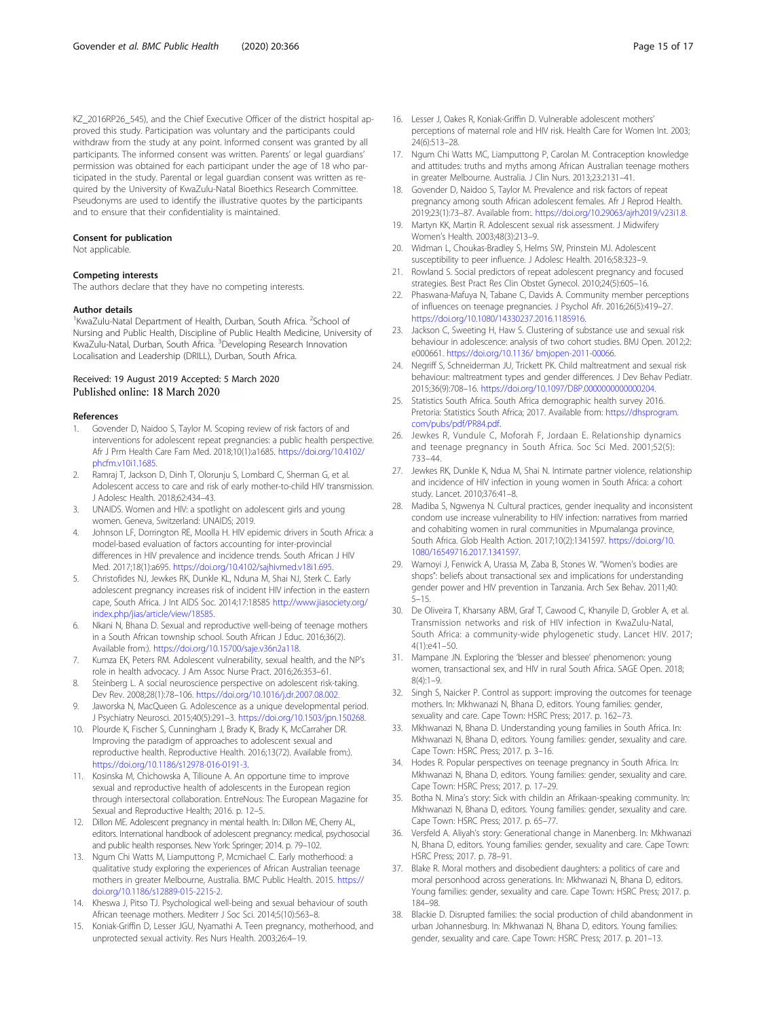<span id="page-14-0"></span>KZ 2016RP26 545), and the Chief Executive Officer of the district hospital approved this study. Participation was voluntary and the participants could withdraw from the study at any point. Informed consent was granted by all participants. The informed consent was written. Parents' or legal guardians' permission was obtained for each participant under the age of 18 who participated in the study. Parental or legal guardian consent was written as required by the University of KwaZulu-Natal Bioethics Research Committee. Pseudonyms are used to identify the illustrative quotes by the participants and to ensure that their confidentiality is maintained.

#### Consent for publication

Not applicable.

#### Competing interests

The authors declare that they have no competing interests.

#### Author details

<sup>1</sup> KwaZulu-Natal Department of Health, Durban, South Africa. <sup>2</sup>School of Nursing and Public Health, Discipline of Public Health Medicine, University of KwaZulu-Natal, Durban, South Africa. <sup>3</sup>Developing Research Innovation Localisation and Leadership (DRILL), Durban, South Africa.

# Received: 19 August 2019 Accepted: 5 March 2020

#### References

- 1. Govender D, Naidoo S, Taylor M. Scoping review of risk factors of and interventions for adolescent repeat pregnancies: a public health perspective. Afr J Prm Health Care Fam Med. 2018;10(1):a1685. [https://doi.org/10.4102/](https://doi.org/10.4102/phcfm.v10i1.1685) [phcfm.v10i1.1685](https://doi.org/10.4102/phcfm.v10i1.1685).
- 2. Ramraj T, Jackson D, Dinh T, Olorunju S, Lombard C, Sherman G, et al. Adolescent access to care and risk of early mother-to-child HIV transmission. J Adolesc Health. 2018;62:434–43.
- UNAIDS. Women and HIV: a spotlight on adolescent girls and young women. Geneva, Switzerland: UNAIDS; 2019.
- 4. Johnson LF, Dorrington RE, Moolla H. HIV epidemic drivers in South Africa: a model-based evaluation of factors accounting for inter-provincial differences in HIV prevalence and incidence trends. South African J HIV Med. 2017;18(1):a695. <https://doi.org/10.4102/sajhivmed.v18i1.695>.
- 5. Christofides NJ, Jewkes RK, Dunkle KL, Nduna M, Shai NJ, Sterk C. Early adolescent pregnancy increases risk of incident HIV infection in the eastern cape, South Africa. J Int AIDS Soc. 2014;17:18585 [http://www.jiasociety.org/](http://www.jiasociety.org/index.php/jias/article/view/18585) [index.php/jias/article/view/18585.](http://www.jiasociety.org/index.php/jias/article/view/18585)
- 6. Nkani N, Bhana D. Sexual and reproductive well-being of teenage mothers in a South African township school. South African J Educ. 2016;36(2). Available from:). <https://doi.org/10.15700/saje.v36n2a118>.
- 7. Kumza EK, Peters RM. Adolescent vulnerability, sexual health, and the NP's role in health advocacy. J Am Assoc Nurse Pract. 2016;26:353–61.
- 8. Steinberg L. A social neuroscience perspective on adolescent risk-taking. Dev Rev. 2008;28(1):78–106. [https://doi.org/10.1016/j.dr.2007.08.002.](https://doi.org/10.1016/j.dr.2007.08.002)
- 9. Jaworska N, MacQueen G. Adolescence as a unique developmental period. J Psychiatry Neurosci. 2015;40(5):291–3. <https://doi.org/10.1503/jpn.150268>.
- 10. Plourde K, Fischer S, Cunningham J, Brady K, Brady K, McCarraher DR. Improving the paradigm of approaches to adolescent sexual and reproductive health. Reproductive Health. 2016;13(72). Available from:). <https://doi.org/10.1186/s12978-016-0191-3>.
- 11. Kosinska M, Chichowska A, Tilioune A. An opportune time to improve sexual and reproductive health of adolescents in the European region through intersectoral collaboration. EntreNous: The European Magazine for Sexual and Reproductive Health; 2016. p. 12–5.
- 12. Dillon ME. Adolescent pregnancy in mental health. In: Dillon ME, Cherry AL, editors. International handbook of adolescent pregnancy: medical, psychosocial and public health responses. New York: Springer; 2014. p. 79–102.
- 13. Ngum Chi Watts M, Liamputtong P, Mcmichael C. Early motherhood: a qualitative study exploring the experiences of African Australian teenage mothers in greater Melbourne, Australia. BMC Public Health. 2015. [https://](https://doi.org/10.1186/s12889-015-2215-2) [doi.org/10.1186/s12889-015-2215-2](https://doi.org/10.1186/s12889-015-2215-2).
- 14. Kheswa J, Pitso TJ. Psychological well-being and sexual behaviour of south African teenage mothers. Mediterr J Soc Sci. 2014;5(10):563–8.
- 15. Koniak-Griffin D, Lesser JGU, Nyamathi A. Teen pregnancy, motherhood, and unprotected sexual activity. Res Nurs Health. 2003;26:4–19.
- 16. Lesser J, Oakes R, Koniak-Griffin D. Vulnerable adolescent mothers' perceptions of maternal role and HIV risk. Health Care for Women Int. 2003; 24(6):513–28.
- 17. Ngum Chi Watts MC, Liamputtong P, Carolan M. Contraception knowledge and attitudes: truths and myths among African Australian teenage mothers in greater Melbourne. Australia. J Clin Nurs. 2013;23:2131–41.
- 18. Govender D, Naidoo S, Taylor M. Prevalence and risk factors of repeat pregnancy among south African adolescent females. Afr J Reprod Health. 2019;23(1):73–87. Available from:. [https://doi.org/10.29063/ajrh2019/v23i1.8.](https://doi.org/10.29063/ajrh2019/v23i1.8)
- 19. Martyn KK, Martin R. Adolescent sexual risk assessment. J Midwifery Women's Health. 2003;48(3):213–9.
- 20. Widman L, Choukas-Bradley S, Helms SW, Prinstein MJ. Adolescent susceptibility to peer influence. J Adolesc Health. 2016;58:323–9.
- 21. Rowland S. Social predictors of repeat adolescent pregnancy and focused strategies. Best Pract Res Clin Obstet Gynecol. 2010;24(5):605–16.
- 22. Phaswana-Mafuya N, Tabane C, Davids A. Community member perceptions of influences on teenage pregnancies. J Psychol Afr. 2016;26(5):419–27. <https://doi.org/10.1080/14330237.2016.1185916>.
- 23. Jackson C, Sweeting H, Haw S. Clustering of substance use and sexual risk behaviour in adolescence: analysis of two cohort studies. BMJ Open. 2012;2: e000661. <https://doi.org/10.1136/ bmjopen-2011-00066>.
- 24. Negriff S, Schneiderman JU, Trickett PK. Child maltreatment and sexual risk behaviour: maltreatment types and gender differences. J Dev Behav Pediatr. 2015;36(9):708–16. <https://doi.org/10.1097/DBP.0000000000000204>.
- 25. Statistics South Africa. South Africa demographic health survey 2016. Pretoria: Statistics South Africa; 2017. Available from: [https://dhsprogram.](https://dhsprogram.com/pubs/pdf/PR84.pdf) [com/pubs/pdf/PR84.pdf](https://dhsprogram.com/pubs/pdf/PR84.pdf).
- 26. Jewkes R, Vundule C, Moforah F, Jordaan E. Relationship dynamics and teenage pregnancy in South Africa. Soc Sci Med. 2001;52(5): 733–44.
- 27. Jewkes RK, Dunkle K, Ndua M, Shai N. Intimate partner violence, relationship and incidence of HIV infection in young women in South Africa: a cohort study. Lancet. 2010;376:41–8.
- 28. Madiba S, Ngwenya N. Cultural practices, gender inequality and inconsistent condom use increase vulnerability to HIV infection: narratives from married and cohabiting women in rural communities in Mpumalanga province, South Africa. Glob Health Action. 2017;10(2):1341597. [https://doi.org/10.](https://doi.org/10.1080/16549716.2017.1341597) [1080/16549716.2017.1341597](https://doi.org/10.1080/16549716.2017.1341597).
- 29. Wamoyi J, Fenwick A, Urassa M, Zaba B, Stones W. "Women's bodies are shops": beliefs about transactional sex and implications for understanding gender power and HIV prevention in Tanzania. Arch Sex Behav. 2011;40: 5–15.
- 30. De Oliveira T, Kharsany ABM, Graf T, Cawood C, Khanyile D, Grobler A, et al. Transmission networks and risk of HIV infection in KwaZulu-Natal, South Africa: a community-wide phylogenetic study. Lancet HIV. 2017; 4(1):e41–50.
- 31. Mampane JN. Exploring the 'blesser and blessee' phenomenon: young women, transactional sex, and HIV in rural South Africa. SAGE Open. 2018;  $8(4):1-9$ .
- 32. Singh S, Naicker P. Control as support: improving the outcomes for teenage mothers. In: Mkhwanazi N, Bhana D, editors. Young families: gender, sexuality and care. Cape Town: HSRC Press; 2017. p. 162–73.
- 33. Mkhwanazi N, Bhana D. Understanding young families in South Africa. In: Mkhwanazi N, Bhana D, editors. Young families: gender, sexuality and care. Cape Town: HSRC Press; 2017. p. 3–16.
- 34. Hodes R. Popular perspectives on teenage pregnancy in South Africa. In: Mkhwanazi N, Bhana D, editors. Young families: gender, sexuality and care. Cape Town: HSRC Press; 2017. p. 17–29.
- 35. Botha N. Mina's story: Sick with childin an Afrikaan-speaking community. In: Mkhwanazi N, Bhana D, editors. Young families: gender, sexuality and care. Cape Town: HSRC Press; 2017. p. 65–77.
- 36. Versfeld A. Aliyah's story: Generational change in Manenberg. In: Mkhwanazi N, Bhana D, editors. Young families: gender, sexuality and care. Cape Town: HSRC Press; 2017. p. 78–91.
- 37. Blake R. Moral mothers and disobedient daughters: a politics of care and moral personhood across generations. In: Mkhwanazi N, Bhana D, editors. Young families: gender, sexuality and care. Cape Town: HSRC Press; 2017. p. 184–98.
- 38. Blackie D. Disrupted families: the social production of child abandonment in urban Johannesburg. In: Mkhwanazi N, Bhana D, editors. Young families: gender, sexuality and care. Cape Town: HSRC Press; 2017. p. 201–13.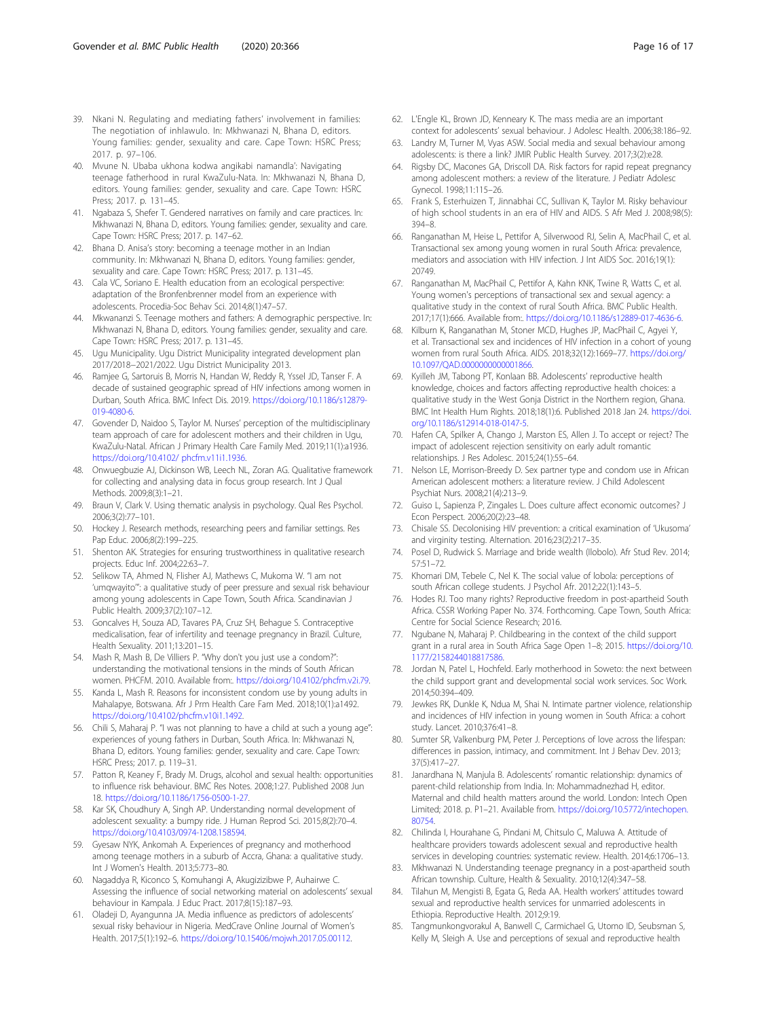- <span id="page-15-0"></span>39. Nkani N. Regulating and mediating fathers' involvement in families: The negotiation of inhlawulo. In: Mkhwanazi N, Bhana D, editors. Young families: gender, sexuality and care. Cape Town: HSRC Press; 2017. p. 97–106.
- 40. Mvune N. Ubaba ukhona kodwa angikabi namandla': Navigating teenage fatherhood in rural KwaZulu-Nata. In: Mkhwanazi N, Bhana D, editors. Young families: gender, sexuality and care. Cape Town: HSRC Press; 2017. p. 131–45.
- 41. Ngabaza S, Shefer T. Gendered narratives on family and care practices. In: Mkhwanazi N, Bhana D, editors. Young families: gender, sexuality and care. Cape Town: HSRC Press; 2017. p. 147–62.
- 42. Bhana D. Anisa's story: becoming a teenage mother in an Indian community. In: Mkhwanazi N, Bhana D, editors. Young families: gender, sexuality and care. Cape Town: HSRC Press; 2017. p. 131–45.
- 43. Cala VC, Soriano E. Health education from an ecological perspective: adaptation of the Bronfenbrenner model from an experience with adolescents. Procedia-Soc Behav Sci. 2014;8(1):47–57.
- 44. Mkwananzi S. Teenage mothers and fathers: A demographic perspective. In: Mkhwanazi N, Bhana D, editors. Young families: gender, sexuality and care. Cape Town: HSRC Press; 2017. p. 131–45.
- 45. Ugu Municipality. Ugu District Municipality integrated development plan 2017/2018−2021/2022. Ugu District Municipality 2013.
- 46. Ramjee G, Sartoruis B, Morris N, Handan W, Reddy R, Yssel JD, Tanser F. A decade of sustained geographic spread of HIV infections among women in Durban, South Africa. BMC Infect Dis. 2019. [https://doi.org/10.1186/s12879-](https://doi.org/10.1186/s12879-019-4080-6) [019-4080-6](https://doi.org/10.1186/s12879-019-4080-6).
- 47. Govender D, Naidoo S, Taylor M. Nurses' perception of the multidisciplinary team approach of care for adolescent mothers and their children in Ugu, KwaZulu-Natal. African J Primary Health Care Family Med. 2019;11(1):a1936. <https://doi.org/10.4102/ phcfm.v11i1.1936>.
- 48. Onwuegbuzie AJ, Dickinson WB, Leech NL, Zoran AG. Qualitative framework for collecting and analysing data in focus group research. Int J Qual Methods. 2009;8(3):1–21.
- 49. Braun V, Clark V. Using thematic analysis in psychology. Qual Res Psychol. 2006;3(2):77–101.
- 50. Hockey J. Research methods, researching peers and familiar settings. Res Pap Educ. 2006;8(2):199–225.
- 51. Shenton AK. Strategies for ensuring trustworthiness in qualitative research projects. Educ Inf. 2004;22:63–7.
- 52. Selikow TA, Ahmed N, Flisher AJ, Mathews C, Mukoma W. "I am not 'umqwayito'": a qualitative study of peer pressure and sexual risk behaviour among young adolescents in Cape Town, South Africa. Scandinavian J Public Health. 2009;37(2):107–12.
- 53. Goncalves H, Souza AD, Tavares PA, Cruz SH, Behague S. Contraceptive medicalisation, fear of infertility and teenage pregnancy in Brazil. Culture, Health Sexuality. 2011;13:201–15.
- 54. Mash R, Mash B, De Villiers P. "Why don't you just use a condom?": understanding the motivational tensions in the minds of South African women. PHCFM. 2010. Available from:. <https://doi.org/10.4102/phcfm.v2i.79>.
- 55. Kanda L, Mash R. Reasons for inconsistent condom use by young adults in Mahalapye, Botswana. Afr J Prm Health Care Fam Med. 2018;10(1):a1492. <https://doi.org/10.4102/phcfm.v10i1.1492>.
- 56. Chili S, Maharaj P. "I was not planning to have a child at such a young age": experiences of young fathers in Durban, South Africa. In: Mkhwanazi N, Bhana D, editors. Young families: gender, sexuality and care. Cape Town: HSRC Press; 2017. p. 119–31.
- 57. Patton R, Keaney F, Brady M. Drugs, alcohol and sexual health: opportunities to influence risk behaviour. BMC Res Notes. 2008;1:27. Published 2008 Jun 18. [https://doi.org/10.1186/1756-0500-1-27.](https://doi.org/10.1186/1756-0500-1-27)
- 58. Kar SK, Choudhury A, Singh AP. Understanding normal development of adolescent sexuality: a bumpy ride. J Human Reprod Sci. 2015;8(2):70–4. [https://doi.org/10.4103/0974-1208.158594.](https://doi.org/10.4103/0974-1208.158594)
- 59. Gyesaw NYK, Ankomah A. Experiences of pregnancy and motherhood among teenage mothers in a suburb of Accra, Ghana: a qualitative study. Int J Women's Health. 2013;5:773–80.
- 60. Nagaddya R, Kiconco S, Komuhangi A, Akugizizibwe P, Auhairwe C. Assessing the influence of social networking material on adolescents' sexual behaviour in Kampala. J Educ Pract. 2017;8(15):187–93.
- 61. Oladeji D, Ayangunna JA. Media influence as predictors of adolescents' sexual risky behaviour in Nigeria. MedCrave Online Journal of Women's Health. 2017;5(1):192–6. <https://doi.org/10.15406/mojwh.2017.05.00112>.
- 62. L'Engle KL, Brown JD, Kenneary K. The mass media are an important context for adolescents' sexual behaviour. J Adolesc Health. 2006;38:186–92.
- 63. Landry M, Turner M, Vyas ASW. Social media and sexual behaviour among adolescents: is there a link? JMIR Public Health Survey. 2017;3(2):e28.
- 64. Rigsby DC, Macones GA, Driscoll DA. Risk factors for rapid repeat pregnancy among adolescent mothers: a review of the literature. J Pediatr Adolesc Gynecol. 1998;11:115–26.
- 65. Frank S, Esterhuizen T, Jinnabhai CC, Sullivan K, Taylor M. Risky behaviour of high school students in an era of HIV and AIDS. S Afr Med J. 2008;98(5): 394–8.
- 66. Ranganathan M, Heise L, Pettifor A, Silverwood RJ, Selin A, MacPhail C, et al. Transactional sex among young women in rural South Africa: prevalence, mediators and association with HIV infection. J Int AIDS Soc. 2016;19(1): 20749.
- 67. Ranganathan M, MacPhail C, Pettifor A, Kahn KNK, Twine R, Watts C, et al. Young women's perceptions of transactional sex and sexual agency: a qualitative study in the context of rural South Africa. BMC Public Health. 2017;17(1):666. Available from:. <https://doi.org/10.1186/s12889-017-4636-6>.
- 68. Kilburn K, Ranganathan M, Stoner MCD, Hughes JP, MacPhail C, Agyei Y, et al. Transactional sex and incidences of HIV infection in a cohort of young women from rural South Africa. AIDS. 2018;32(12):1669–77. [https://doi.org/](https://doi.org/10.1097/QAD.0000000000001866) [10.1097/QAD.0000000000001866](https://doi.org/10.1097/QAD.0000000000001866).
- 69. Kyilleh JM, Tabong PT, Konlaan BB. Adolescents' reproductive health knowledge, choices and factors affecting reproductive health choices: a qualitative study in the West Gonja District in the Northern region, Ghana. BMC Int Health Hum Rights. 2018;18(1):6. Published 2018 Jan 24. [https://doi.](https://doi.org/10.1186/s12914-018-0147-5) [org/10.1186/s12914-018-0147-5](https://doi.org/10.1186/s12914-018-0147-5).
- 70. Hafen CA, Spilker A, Chango J, Marston ES, Allen J. To accept or reject? The impact of adolescent rejection sensitivity on early adult romantic relationships. J Res Adolesc. 2015;24(1):55–64.
- 71. Nelson LE, Morrison-Breedy D. Sex partner type and condom use in African American adolescent mothers: a literature review. J Child Adolescent Psychiat Nurs. 2008;21(4):213–9.
- 72. Guiso L, Sapienza P, Zingales L. Does culture affect economic outcomes? J Econ Perspect. 2006;20(2):23–48.
- 73. Chisale SS. Decolonising HIV prevention: a critical examination of 'Ukusoma' and virginity testing. Alternation. 2016;23(2):217–35.
- 74. Posel D, Rudwick S. Marriage and bride wealth (Ilobolo). Afr Stud Rev. 2014; 57:51–72.
- 75. Khomari DM, Tebele C, Nel K. The social value of lobola: perceptions of south African college students. J Psychol Afr. 2012;22(1):143–5.
- 76. Hodes RJ. Too many rights? Reproductive freedom in post-apartheid South Africa. CSSR Working Paper No. 374. Forthcoming. Cape Town, South Africa: Centre for Social Science Research; 2016.
- 77. Ngubane N, Maharaj P. Childbearing in the context of the child support grant in a rural area in South Africa Sage Open 1–8; 2015. [https://doi.org/10.](https://doi.org/10.1177/2158244018817586) [1177/2158244018817586](https://doi.org/10.1177/2158244018817586).
- 78. Jordan N, Patel L, Hochfeld. Early motherhood in Soweto: the next between the child support grant and developmental social work services. Soc Work. 2014;50:394–409.
- 79. Jewkes RK, Dunkle K, Ndua M, Shai N. Intimate partner violence, relationship and incidences of HIV infection in young women in South Africa: a cohort study. Lancet. 2010;376:41–8.
- Sumter SR, Valkenburg PM, Peter J. Perceptions of love across the lifespan: differences in passion, intimacy, and commitment. Int J Behav Dev. 2013; 37(5):417–27.
- 81. Janardhana N, Manjula B. Adolescents' romantic relationship: dynamics of parent-child relationship from India. In: Mohammadnezhad H, editor. Maternal and child health matters around the world. London: Intech Open Limited; 2018. p. P1–21. Available from. [https://doi.org/10.5772/intechopen.](https://doi.org/10.5772/intechopen.80754) [80754.](https://doi.org/10.5772/intechopen.80754)
- 82. Chilinda I, Hourahane G, Pindani M, Chitsulo C, Maluwa A. Attitude of healthcare providers towards adolescent sexual and reproductive health services in developing countries: systematic review. Health. 2014;6:1706–13.
- 83. Mkhwanazi N. Understanding teenage pregnancy in a post-apartheid south African township. Culture, Health & Sexuality. 2010;12(4):347–58.
- 84. Tilahun M, Mengisti B, Egata G, Reda AA. Health workers' attitudes toward sexual and reproductive health services for unmarried adolescents in Ethiopia. Reproductive Health. 2012;9:19.
- 85. Tangmunkongvorakul A, Banwell C, Carmichael G, Utomo ID, Seubsman S, Kelly M, Sleigh A. Use and perceptions of sexual and reproductive health